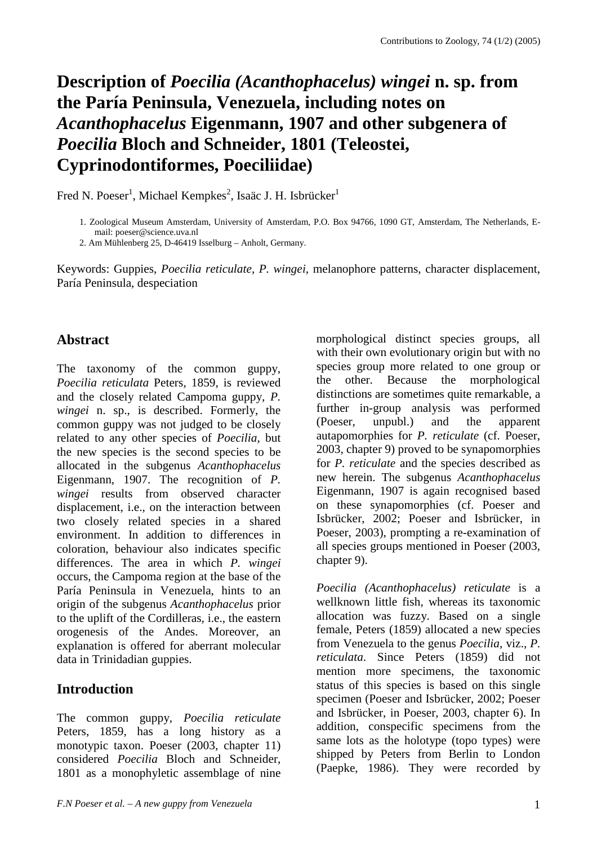# **Description of** *Poecilia (Acanthophacelus) wingei* **n. sp. from the Paría Peninsula, Venezuela, including notes on**  *Acanthophacelus* **Eigenmann, 1907 and other subgenera of**  *Poecilia* **Bloch and Schneider, 1801 (Teleostei, Cyprinodontiformes, Poeciliidae)**

Fred N. Poeser $^1$ , Michael Kempkes $^2$ , Isaäc J. H. Isbrücker $^1$ 

1. Zoological Museum Amsterdam, University of Amsterdam, P.O. Box 94766, 1090 GT, Amsterdam, The Netherlands, Email: poeser@science.uva.nl

2. Am Mühlenberg 25, D-46419 Isselburg – Anholt, Germany.

Keywords: Guppies, *Poecilia reticulate, P. wingei,* melanophore patterns, character displacement, Paría Peninsula, despeciation

## **Abstract**

The taxonomy of the common guppy, *Poecilia reticulata* Peters, 1859, is reviewed and the closely related Campoma guppy, *P. wingei* n. sp., is described. Formerly, the common guppy was not judged to be closely related to any other species of *Poecilia*, but the new species is the second species to be allocated in the subgenus *Acanthophacelus*  Eigenmann, 1907. The recognition of *P. wingei* results from observed character displacement, i.e., on the interaction between two closely related species in a shared environment. In addition to differences in coloration, behaviour also indicates specific differences. The area in which *P. wingei*  occurs, the Campoma region at the base of the Paría Peninsula in Venezuela, hints to an origin of the subgenus *Acanthophacelus* prior to the uplift of the Cordilleras, i.e., the eastern orogenesis of the Andes. Moreover, an explanation is offered for aberrant molecular data in Trinidadian guppies.

## **Introduction**

The common guppy, *Poecilia reticulate*  Peters, 1859, has a long history as a monotypic taxon. Poeser (2003, chapter 11) considered *Poecilia* Bloch and Schneider, 1801 as a monophyletic assemblage of nine morphological distinct species groups, all with their own evolutionary origin but with no species group more related to one group or the other. Because the morphological distinctions are sometimes quite remarkable, a further in-group analysis was performed (Poeser, unpubl.) and the apparent autapomorphies for *P. reticulate* (cf. Poeser, 2003, chapter 9) proved to be synapomorphies for *P. reticulate* and the species described as new herein. The subgenus *Acanthophacelus*  Eigenmann, 1907 is again recognised based on these synapomorphies (cf. Poeser and Isbrücker, 2002; Poeser and Isbrücker, in Poeser, 2003), prompting a re-examination of all species groups mentioned in Poeser (2003, chapter 9).

*Poecilia (Acanthophacelus) reticulate* is a wellknown little fish, whereas its taxonomic allocation was fuzzy. Based on a single female, Peters (1859) allocated a new species from Venezuela to the genus *Poecilia*, viz., *P. reticulata*. Since Peters (1859) did not mention more specimens, the taxonomic status of this species is based on this single specimen (Poeser and Isbrücker, 2002; Poeser and Isbrücker, in Poeser, 2003, chapter 6). In addition, conspecific specimens from the same lots as the holotype (topo types) were shipped by Peters from Berlin to London (Paepke, 1986). They were recorded by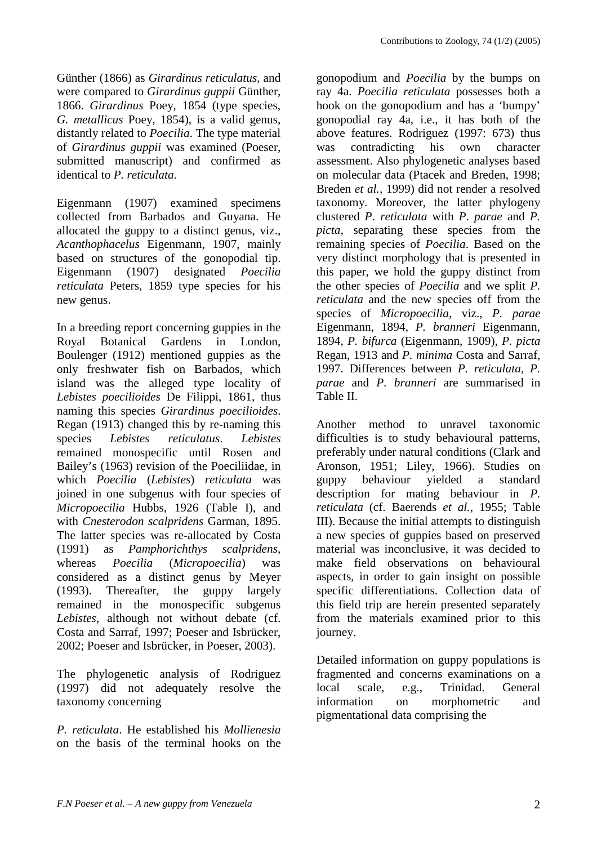Günther (1866) as *Girardinus reticulatus*, and were compared to *Girardinus guppii* Günther, 1866. *Girardinus* Poey, 1854 (type species, *G. metallicus* Poey, 1854), is a valid genus, distantly related to *Poecilia*. The type material of *Girardinus guppii* was examined (Poeser, submitted manuscript) and confirmed as identical to *P. reticulata*.

Eigenmann (1907) examined specimens collected from Barbados and Guyana. He allocated the guppy to a distinct genus, viz., *Acanthophacelus* Eigenmann, 1907, mainly based on structures of the gonopodial tip. Eigenmann (1907) designated *Poecilia reticulata* Peters, 1859 type species for his new genus.

In a breeding report concerning guppies in the Royal Botanical Gardens in London, Boulenger (1912) mentioned guppies as the only freshwater fish on Barbados, which island was the alleged type locality of *Lebistes poecilioides* De Filippi, 1861, thus naming this species *Girardinus poecilioides*. Regan (1913) changed this by re-naming this species *Lebistes reticulatus*. *Lebistes*  remained monospecific until Rosen and Bailey's (1963) revision of the Poeciliidae, in which *Poecilia* (*Lebistes*) *reticulata* was joined in one subgenus with four species of *Micropoecilia* Hubbs, 1926 (Table I), and with *Cnesterodon scalpridens* Garman, 1895. The latter species was re-allocated by Costa (1991) as *Pamphorichthys scalpridens*, whereas *Poecilia* (*Micropoecilia*) was considered as a distinct genus by Meyer (1993). Thereafter, the guppy largely remained in the monospecific subgenus *Lebistes*, although not without debate (cf. Costa and Sarraf, 1997; Poeser and Isbrücker, 2002; Poeser and Isbrücker, in Poeser, 2003).

The phylogenetic analysis of Rodriguez (1997) did not adequately resolve the taxonomy concerning

*P. reticulata*. He established his *Mollienesia*  on the basis of the terminal hooks on the

gonopodium and *Poecilia* by the bumps on ray 4a. *Poecilia reticulata* possesses both a hook on the gonopodium and has a 'bumpy' gonopodial ray 4a, i.e., it has both of the above features. Rodriguez (1997: 673) thus was contradicting his own character assessment. Also phylogenetic analyses based on molecular data (Ptacek and Breden, 1998; Breden *et al.,* 1999) did not render a resolved taxonomy. Moreover, the latter phylogeny clustered *P*. *reticulata* with *P*. *parae* and *P. picta*, separating these species from the remaining species of *Poecilia*. Based on the very distinct morphology that is presented in this paper, we hold the guppy distinct from the other species of *Poecilia* and we split *P. reticulata* and the new species off from the species of *Micropoecilia*, viz., *P. parae*  Eigenmann, 1894, *P. branneri* Eigenmann, 1894, *P. bifurca* (Eigenmann, 1909), *P. picta*  Regan, 1913 and *P. minima* Costa and Sarraf, 1997. Differences between *P. reticulata*, *P. parae* and *P. branneri* are summarised in Table II.

Another method to unravel taxonomic difficulties is to study behavioural patterns, preferably under natural conditions (Clark and Aronson, 1951; Liley, 1966). Studies on guppy behaviour yielded a standard description for mating behaviour in *P. reticulata* (cf. Baerends *et al.,* 1955; Table III). Because the initial attempts to distinguish a new species of guppies based on preserved material was inconclusive, it was decided to make field observations on behavioural aspects, in order to gain insight on possible specific differentiations. Collection data of this field trip are herein presented separately from the materials examined prior to this journey.

Detailed information on guppy populations is fragmented and concerns examinations on a local scale, e.g., Trinidad. General information on morphometric and pigmentational data comprising the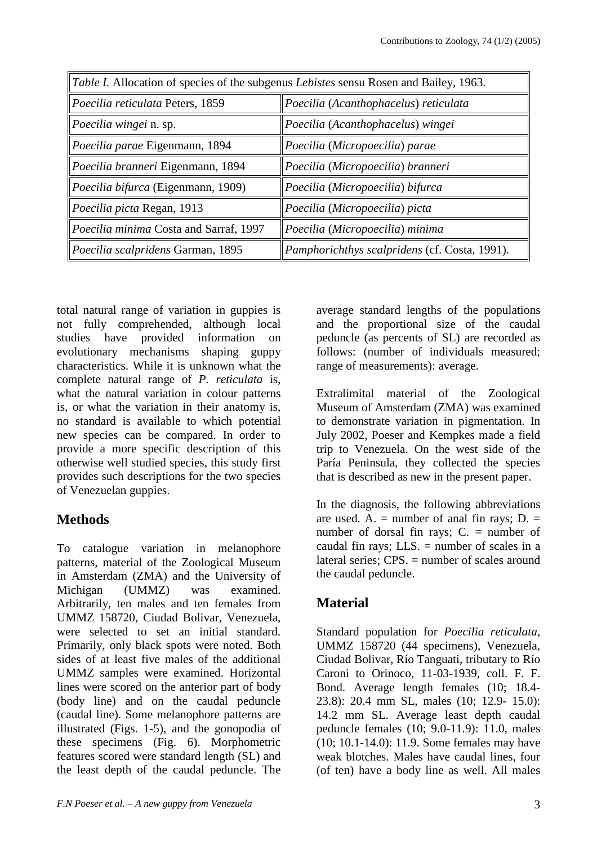| <i>Table I.</i> Allocation of species of the subgenus <i>Lebistes</i> sensu Rosen and Bailey, 1963. |                                               |  |  |  |
|-----------------------------------------------------------------------------------------------------|-----------------------------------------------|--|--|--|
| <i>Poecilia reticulata Peters, 1859</i>                                                             | Poecilia (Acanthophacelus) reticulata         |  |  |  |
| Poecilia wingei n. sp.                                                                              | Poecilia (Acanthophacelus) wingei             |  |  |  |
| <i>Poecilia parae</i> Eigenmann, 1894                                                               | Poecilia (Micropoecilia) parae                |  |  |  |
| <i>Poecilia branneri</i> Eigenmann, 1894                                                            | Poecilia (Micropoecilia) branneri             |  |  |  |
| Poecilia bifurca (Eigenmann, 1909)                                                                  | Poecilia (Micropoecilia) bifurca              |  |  |  |
| Poecilia picta Regan, 1913                                                                          | Poecilia (Micropoecilia) picta                |  |  |  |
| <i>Poecilia minima</i> Costa and Sarraf, 1997                                                       | Poecilia (Micropoecilia) minima               |  |  |  |
| Poecilia scalpridens Garman, 1895                                                                   | Pamphorichthys scalpridens (cf. Costa, 1991). |  |  |  |

total natural range of variation in guppies is not fully comprehended, although local studies have provided information on evolutionary mechanisms shaping guppy characteristics. While it is unknown what the complete natural range of *P. reticulata* is, what the natural variation in colour patterns is, or what the variation in their anatomy is, no standard is available to which potential new species can be compared. In order to provide a more specific description of this otherwise well studied species, this study first provides such descriptions for the two species of Venezuelan guppies.

## **Methods**

To catalogue variation in melanophore patterns, material of the Zoological Museum in Amsterdam (ZMA) and the University of Michigan (UMMZ) was examined. Arbitrarily, ten males and ten females from UMMZ 158720, Ciudad Bolivar, Venezuela, were selected to set an initial standard. Primarily, only black spots were noted. Both sides of at least five males of the additional UMMZ samples were examined. Horizontal lines were scored on the anterior part of body (body line) and on the caudal peduncle (caudal line). Some melanophore patterns are illustrated (Figs. 1-5), and the gonopodia of these specimens (Fig. 6). Morphometric features scored were standard length (SL) and the least depth of the caudal peduncle. The

average standard lengths of the populations and the proportional size of the caudal peduncle (as percents of SL) are recorded as follows: (number of individuals measured; range of measurements): average.

Extralimital material of the Zoological Museum of Amsterdam (ZMA) was examined to demonstrate variation in pigmentation. In July 2002, Poeser and Kempkes made a field trip to Venezuela. On the west side of the Paría Peninsula, they collected the species that is described as new in the present paper.

In the diagnosis, the following abbreviations are used. A.  $=$  number of anal fin rays; D.  $=$ number of dorsal fin rays;  $C =$  number of caudal fin rays;  $LLS =$  number of scales in a lateral series; CPS. = number of scales around the caudal peduncle.

## **Material**

Standard population for *Poecilia reticulata,*  UMMZ 158720 (44 specimens), Venezuela, Ciudad Bolivar, Río Tanguati, tributary to Río Caroni to Orinoco, 11-03-1939, coll. F. F. Bond. Average length females (10; 18.4- 23.8): 20.4 mm SL, males (10; 12.9- 15.0): 14.2 mm SL. Average least depth caudal peduncle females (10; 9.0-11.9): 11.0, males (10; 10.1-14.0): 11.9. Some females may have weak blotches. Males have caudal lines, four (of ten) have a body line as well. All males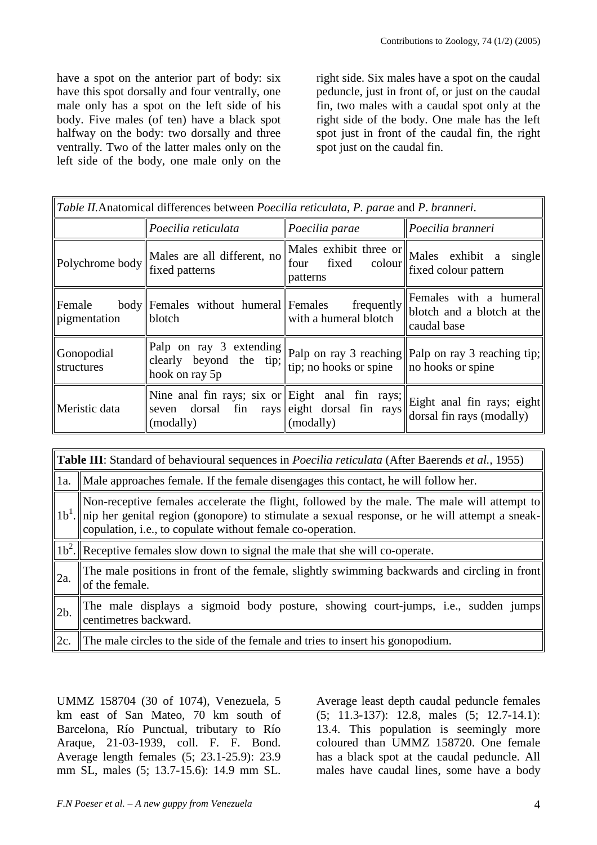have a spot on the anterior part of body: six have this spot dorsally and four ventrally, one male only has a spot on the left side of his body. Five males (of ten) have a black spot halfway on the body: two dorsally and three ventrally. Two of the latter males only on the left side of the body, one male only on the

right side. Six males have a spot on the caudal peduncle, just in front of, or just on the caudal fin, two males with a caudal spot only at the right side of the body. One male has the left spot just in front of the caudal fin, the right spot just on the caudal fin.

| Table II. Anatomical differences between <i>Poecilia reticulata</i> , <i>P. parae</i> and <i>P. branneri</i> . |                                                                                                                                                                                          |                                                               |                                                                     |  |  |  |  |
|----------------------------------------------------------------------------------------------------------------|------------------------------------------------------------------------------------------------------------------------------------------------------------------------------------------|---------------------------------------------------------------|---------------------------------------------------------------------|--|--|--|--|
|                                                                                                                | $\ Poecilia \text{ \ }para$ e<br>$\parallel$ Poecilia reticulata                                                                                                                         |                                                               | Poecilia branneri                                                   |  |  |  |  |
| Polychrome body                                                                                                | Males are all different, no<br>fixed patterns                                                                                                                                            | Males exhibit three or<br>four<br>fixed<br>colour<br>patterns | Males exhibit a single<br>fixed colour pattern                      |  |  |  |  |
| Female<br>pigmentation                                                                                         | body Females without humeral Females<br>blotch                                                                                                                                           | frequently<br>with a humeral blotch                           | Females with a humeral<br>blotch and a blotch at the<br>caudal base |  |  |  |  |
| Gonopodial<br>structures                                                                                       | Palp on ray 3 extending    Palp on ray 3 reaching    Palp on ray 3 reaching tip;   <br>clearly beyond the tip; $\ \text{tip; no hooks or spine}\ $ no hooks or spine<br>hook on ray $5p$ |                                                               |                                                                     |  |  |  |  |
| Meristic data                                                                                                  | Nine anal fin rays; six or Eight anal fin rays;<br>dorsal<br>seven<br>$\ $ (modally)                                                                                                     | $\lim$ rays eight dorsal fin rays<br>$\ $ (modally)           | Eight anal fin rays; eight<br>dorsal fin rays (modally)             |  |  |  |  |

| <b>Table III</b> : Standard of behavioural sequences in <i>Poecilia reticulata</i> (After Baerends <i>et al.</i> , 1955) |                                                                                                                                                                                                                                                                       |  |  |  |  |
|--------------------------------------------------------------------------------------------------------------------------|-----------------------------------------------------------------------------------------------------------------------------------------------------------------------------------------------------------------------------------------------------------------------|--|--|--|--|
| 1a.                                                                                                                      | Male approaches female. If the female disengages this contact, he will follow her.                                                                                                                                                                                    |  |  |  |  |
|                                                                                                                          | Non-receptive females accelerate the flight, followed by the male. The male will attempt to<br>$\ 1b^1\ $ nip her genital region (gonopore) to stimulate a sexual response, or he will attempt a sneak-<br>copulation, i.e., to copulate without female co-operation. |  |  |  |  |
|                                                                                                                          | $1b2$ . Receptive females slow down to signal the male that she will co-operate.                                                                                                                                                                                      |  |  |  |  |
| 2a.                                                                                                                      | The male positions in front of the female, slightly swimming backwards and circling in front<br>of the female.                                                                                                                                                        |  |  |  |  |
| 2b.                                                                                                                      | The male displays a sigmoid body posture, showing court-jumps, i.e., sudden jumps                                                                                                                                                                                     |  |  |  |  |
| 2c.                                                                                                                      | The male circles to the side of the female and tries to insert his gonopodium.                                                                                                                                                                                        |  |  |  |  |

UMMZ 158704 (30 of 1074), Venezuela, 5 km east of San Mateo, 70 km south of Barcelona, Río Punctual, tributary to Río Araque, 21-03-1939, coll. F. F. Bond. Average length females (5; 23.1-25.9): 23.9 mm SL, males (5; 13.7-15.6): 14.9 mm SL.

Average least depth caudal peduncle females (5; 11.3-137): 12.8, males (5; 12.7-14.1): 13.4. This population is seemingly more coloured than UMMZ 158720. One female has a black spot at the caudal peduncle. All males have caudal lines, some have a body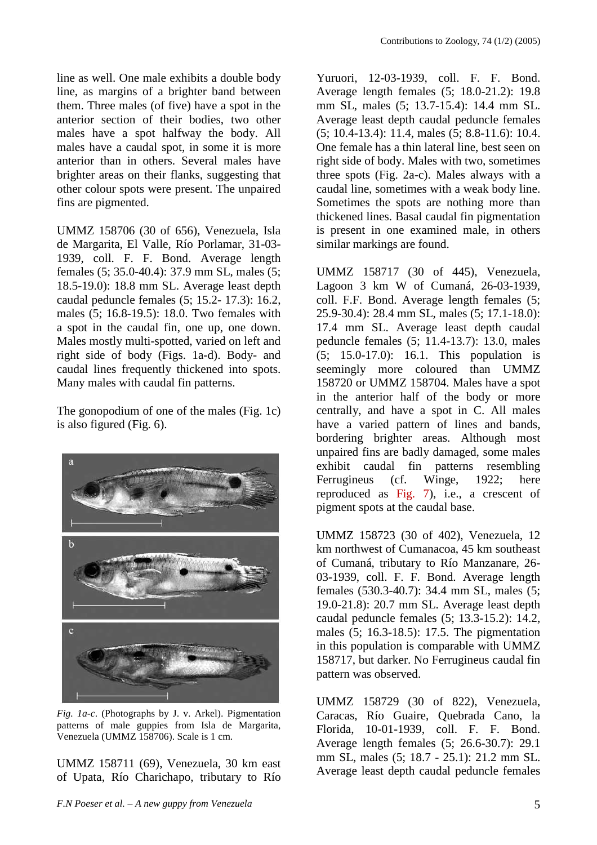line as well. One male exhibits a double body line, as margins of a brighter band between them. Three males (of five) have a spot in the anterior section of their bodies, two other males have a spot halfway the body. All males have a caudal spot, in some it is more anterior than in others. Several males have brighter areas on their flanks, suggesting that other colour spots were present. The unpaired fins are pigmented.

UMMZ 158706 (30 of 656), Venezuela, Isla de Margarita, El Valle, Río Porlamar, 31-03- 1939, coll. F. F. Bond. Average length females (5; 35.0-40.4): 37.9 mm SL, males (5; 18.5-19.0): 18.8 mm SL. Average least depth caudal peduncle females (5; 15.2- 17.3): 16.2, males (5; 16.8-19.5): 18.0. Two females with a spot in the caudal fin, one up, one down. Males mostly multi-spotted, varied on left and right side of body (Figs. 1a-d). Body- and caudal lines frequently thickened into spots. Many males with caudal fin patterns.

The gonopodium of one of the males (Fig. 1c) is also figured (Fig. 6).



*Fig. 1a-c*. (Photographs by J. v. Arkel). Pigmentation patterns of male guppies from Isla de Margarita, Venezuela (UMMZ 158706). Scale is 1 cm.

UMMZ 158711 (69), Venezuela, 30 km east of Upata, Río Charichapo, tributary to Río

Yuruori, 12-03-1939, coll. F. F. Bond. Average length females (5; 18.0-21.2): 19.8 mm SL, males (5; 13.7-15.4): 14.4 mm SL. Average least depth caudal peduncle females (5; 10.4-13.4): 11.4, males (5; 8.8-11.6): 10.4. One female has a thin lateral line, best seen on right side of body. Males with two, sometimes three spots (Fig. 2a-c). Males always with a caudal line, sometimes with a weak body line. Sometimes the spots are nothing more than thickened lines. Basal caudal fin pigmentation is present in one examined male, in others similar markings are found.

UMMZ 158717 (30 of 445), Venezuela, Lagoon 3 km W of Cumaná, 26-03-1939, coll. F.F. Bond. Average length females (5; 25.9-30.4): 28.4 mm SL, males (5; 17.1-18.0): 17.4 mm SL. Average least depth caudal peduncle females (5; 11.4-13.7): 13.0, males (5; 15.0-17.0): 16.1. This population is seemingly more coloured than UMMZ 158720 or UMMZ 158704. Males have a spot in the anterior half of the body or more centrally, and have a spot in C. All males have a varied pattern of lines and bands, bordering brighter areas. Although most unpaired fins are badly damaged, some males exhibit caudal fin patterns resembling<br>Ferrugineus (cf. Winge, 1922; here Ferrugineus (cf. Winge, 1922; here reproduced as Fig. 7), i.e., a crescent of pigment spots at the caudal base.

UMMZ 158723 (30 of 402), Venezuela, 12 km northwest of Cumanacoa, 45 km southeast of Cumaná, tributary to Río Manzanare, 26- 03-1939, coll. F. F. Bond. Average length females (530.3-40.7): 34.4 mm SL, males (5; 19.0-21.8): 20.7 mm SL. Average least depth caudal peduncle females (5; 13.3-15.2): 14.2, males (5; 16.3-18.5): 17.5. The pigmentation in this population is comparable with UMMZ 158717, but darker. No Ferrugineus caudal fin pattern was observed.

UMMZ 158729 (30 of 822), Venezuela, Caracas, Río Guaire, Quebrada Cano, la Florida, 10-01-1939, coll. F. F. Bond. Average length females (5; 26.6-30.7): 29.1 mm SL, males (5; 18.7 - 25.1): 21.2 mm SL. Average least depth caudal peduncle females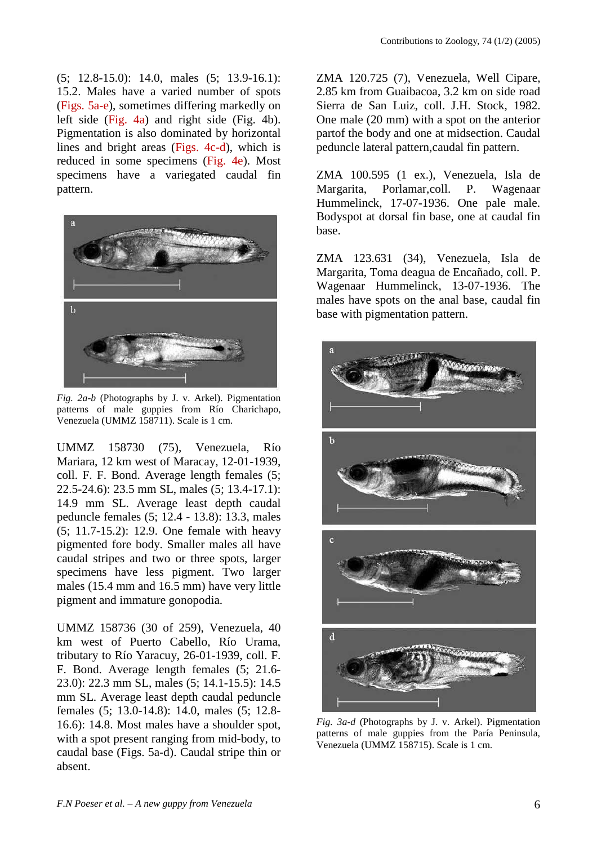(5; 12.8-15.0): 14.0, males (5; 13.9-16.1): 15.2. Males have a varied number of spots (Figs. 5a-e), sometimes differing markedly on left side (Fig. 4a) and right side (Fig. 4b). Pigmentation is also dominated by horizontal lines and bright areas (Figs. 4c-d), which is reduced in some specimens (Fig. 4e). Most specimens have a variegated caudal fin pattern.



*Fig. 2a-b* (Photographs by J. v. Arkel). Pigmentation patterns of male guppies from Río Charichapo, Venezuela (UMMZ 158711). Scale is 1 cm.

UMMZ 158730 (75), Venezuela, Río Mariara, 12 km west of Maracay, 12-01-1939, coll. F. F. Bond. Average length females (5; 22.5-24.6): 23.5 mm SL, males (5; 13.4-17.1): 14.9 mm SL. Average least depth caudal peduncle females (5; 12.4 - 13.8): 13.3, males (5; 11.7-15.2): 12.9. One female with heavy pigmented fore body. Smaller males all have caudal stripes and two or three spots, larger specimens have less pigment. Two larger males (15.4 mm and 16.5 mm) have very little pigment and immature gonopodia.

UMMZ 158736 (30 of 259), Venezuela, 40 km west of Puerto Cabello, Río Urama, tributary to Río Yaracuy, 26-01-1939, coll. F. F. Bond. Average length females (5; 21.6- 23.0): 22.3 mm SL, males (5; 14.1-15.5): 14.5 mm SL. Average least depth caudal peduncle females (5; 13.0-14.8): 14.0, males (5; 12.8- 16.6): 14.8. Most males have a shoulder spot, with a spot present ranging from mid-body, to caudal base (Figs. 5a-d). Caudal stripe thin or absent.

ZMA 120.725 (7), Venezuela, Well Cipare, 2.85 km from Guaibacoa, 3.2 km on side road Sierra de San Luiz, coll. J.H. Stock, 1982. One male (20 mm) with a spot on the anterior partof the body and one at midsection. Caudal peduncle lateral pattern,caudal fin pattern.

ZMA 100.595 (1 ex.), Venezuela, Isla de Margarita, Porlamar,coll. P. Wagenaar Hummelinck, 17-07-1936. One pale male. Bodyspot at dorsal fin base, one at caudal fin base.

ZMA 123.631 (34), Venezuela, Isla de Margarita, Toma deagua de Encañado, coll. P. Wagenaar Hummelinck, 13-07-1936. The males have spots on the anal base, caudal fin base with pigmentation pattern.



*Fig. 3a-d* (Photographs by J. v. Arkel). Pigmentation patterns of male guppies from the Paría Peninsula, Venezuela (UMMZ 158715). Scale is 1 cm.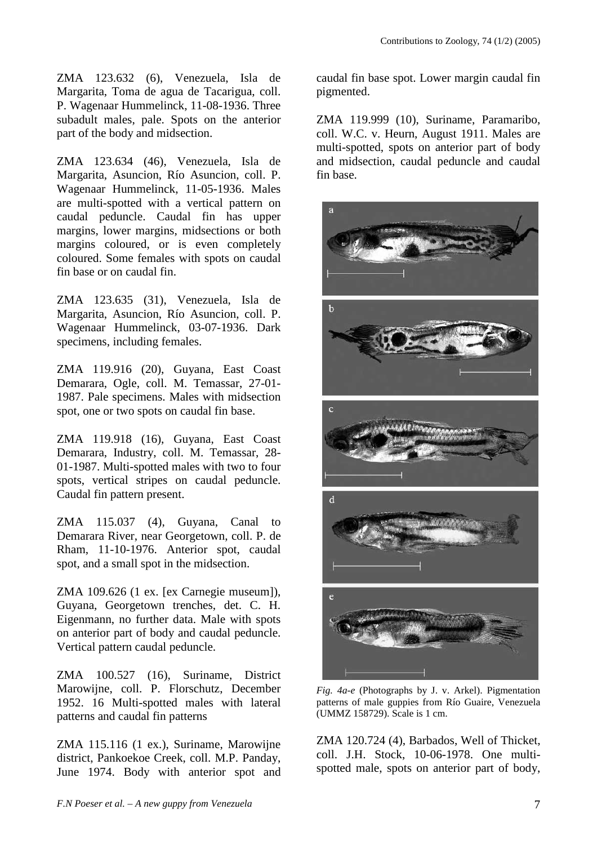ZMA 123.632 (6), Venezuela, Isla de Margarita, Toma de agua de Tacarigua, coll. P. Wagenaar Hummelinck, 11-08-1936. Three subadult males, pale. Spots on the anterior part of the body and midsection.

ZMA 123.634 (46), Venezuela, Isla de Margarita, Asuncion, Río Asuncion, coll. P. Wagenaar Hummelinck, 11-05-1936. Males are multi-spotted with a vertical pattern on caudal peduncle. Caudal fin has upper margins, lower margins, midsections or both margins coloured, or is even completely coloured. Some females with spots on caudal fin base or on caudal fin.

ZMA 123.635 (31), Venezuela, Isla de Margarita, Asuncion, Río Asuncion, coll. P. Wagenaar Hummelinck, 03-07-1936. Dark specimens, including females.

ZMA 119.916 (20), Guyana, East Coast Demarara, Ogle, coll. M. Temassar, 27-01- 1987. Pale specimens. Males with midsection spot, one or two spots on caudal fin base.

ZMA 119.918 (16), Guyana, East Coast Demarara, Industry, coll. M. Temassar, 28- 01-1987. Multi-spotted males with two to four spots, vertical stripes on caudal peduncle. Caudal fin pattern present.

ZMA 115.037 (4), Guyana, Canal to Demarara River, near Georgetown, coll. P. de Rham, 11-10-1976. Anterior spot, caudal spot, and a small spot in the midsection.

ZMA 109.626 (1 ex. [ex Carnegie museum]), Guyana, Georgetown trenches, det. C. H. Eigenmann, no further data. Male with spots on anterior part of body and caudal peduncle. Vertical pattern caudal peduncle.

ZMA 100.527 (16), Suriname, District Marowijne, coll. P. Florschutz, December 1952. 16 Multi-spotted males with lateral patterns and caudal fin patterns

ZMA 115.116 (1 ex.), Suriname, Marowijne district, Pankoekoe Creek, coll. M.P. Panday, June 1974. Body with anterior spot and caudal fin base spot. Lower margin caudal fin pigmented.

ZMA 119.999 (10), Suriname, Paramaribo, coll. W.C. v. Heurn, August 1911. Males are multi-spotted, spots on anterior part of body and midsection, caudal peduncle and caudal fin base.



*Fig. 4a-e* (Photographs by J. v. Arkel). Pigmentation patterns of male guppies from Río Guaire, Venezuela (UMMZ 158729). Scale is 1 cm.

ZMA 120.724 (4), Barbados, Well of Thicket, coll. J.H. Stock, 10-06-1978. One multispotted male, spots on anterior part of body,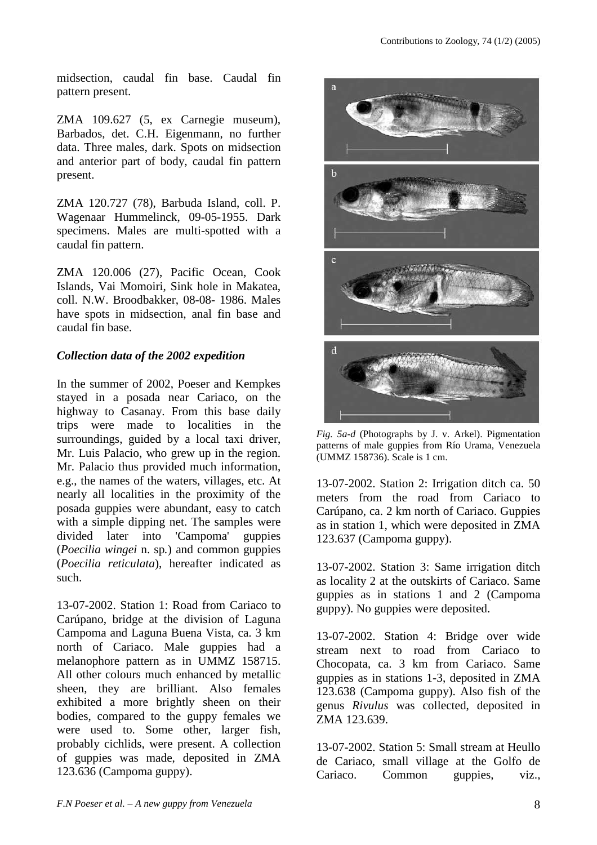midsection, caudal fin base. Caudal fin pattern present.

ZMA 109.627 (5, ex Carnegie museum), Barbados, det. C.H. Eigenmann, no further data. Three males, dark. Spots on midsection and anterior part of body, caudal fin pattern present.

ZMA 120.727 (78), Barbuda Island, coll. P. Wagenaar Hummelinck, 09-05-1955. Dark specimens. Males are multi-spotted with a caudal fin pattern.

ZMA 120.006 (27), Pacific Ocean, Cook Islands, Vai Momoiri, Sink hole in Makatea, coll. N.W. Broodbakker, 08-08- 1986. Males have spots in midsection, anal fin base and caudal fin base.

#### *Collection data of the 2002 expedition*

In the summer of 2002, Poeser and Kempkes stayed in a posada near Cariaco, on the highway to Casanay. From this base daily trips were made to localities in the surroundings, guided by a local taxi driver, Mr. Luis Palacio, who grew up in the region. Mr. Palacio thus provided much information, e.g., the names of the waters, villages, etc. At nearly all localities in the proximity of the posada guppies were abundant, easy to catch with a simple dipping net. The samples were divided later into 'Campoma' guppies (*Poecilia wingei* n. sp*.*) and common guppies (*Poecilia reticulata*), hereafter indicated as such.

13-07-2002. Station 1: Road from Cariaco to Carúpano, bridge at the division of Laguna Campoma and Laguna Buena Vista, ca. 3 km north of Cariaco. Male guppies had a melanophore pattern as in UMMZ 158715. All other colours much enhanced by metallic sheen, they are brilliant. Also females exhibited a more brightly sheen on their bodies, compared to the guppy females we were used to. Some other, larger fish, probably cichlids, were present. A collection of guppies was made, deposited in ZMA 123.636 (Campoma guppy).



*Fig. 5a-d* (Photographs by J. v. Arkel). Pigmentation patterns of male guppies from Río Urama, Venezuela (UMMZ 158736). Scale is 1 cm.

13-07-2002. Station 2: Irrigation ditch ca. 50 meters from the road from Cariaco to Carúpano, ca. 2 km north of Cariaco. Guppies as in station 1, which were deposited in ZMA 123.637 (Campoma guppy).

13-07-2002. Station 3: Same irrigation ditch as locality 2 at the outskirts of Cariaco. Same guppies as in stations 1 and 2 (Campoma guppy). No guppies were deposited.

13-07-2002. Station 4: Bridge over wide stream next to road from Cariaco to Chocopata, ca. 3 km from Cariaco. Same guppies as in stations 1-3, deposited in ZMA 123.638 (Campoma guppy). Also fish of the genus *Rivulus* was collected, deposited in ZMA 123.639.

13-07-2002. Station 5: Small stream at Heullo de Cariaco, small village at the Golfo de Cariaco. Common guppies, viz.,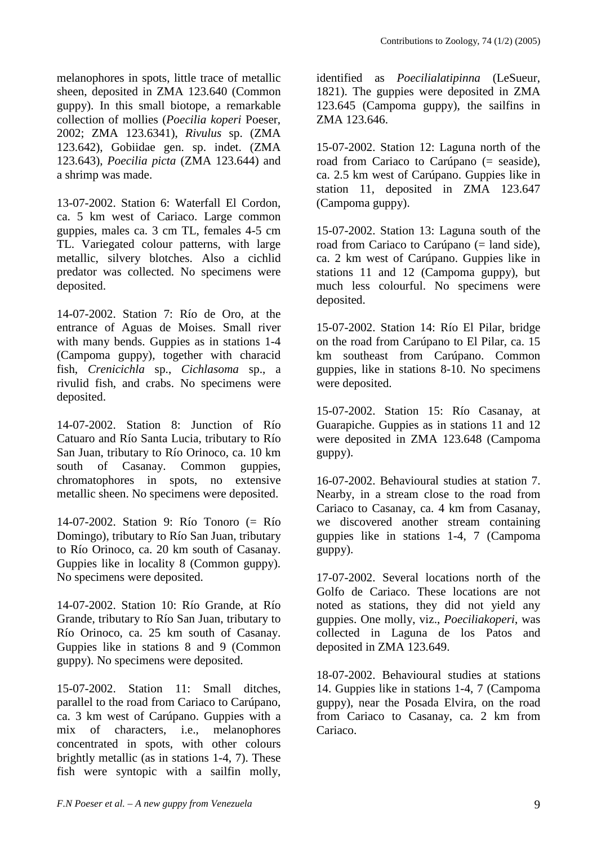melanophores in spots, little trace of metallic sheen, deposited in ZMA 123.640 (Common guppy). In this small biotope, a remarkable collection of mollies (*Poecilia koperi* Poeser, 2002; ZMA 123.6341), *Rivulus* sp. (ZMA 123.642), Gobiidae gen. sp. indet. (ZMA 123.643), *Poecilia picta* (ZMA 123.644) and a shrimp was made.

13-07-2002. Station 6: Waterfall El Cordon, ca. 5 km west of Cariaco. Large common guppies, males ca. 3 cm TL, females 4-5 cm TL. Variegated colour patterns, with large metallic, silvery blotches. Also a cichlid predator was collected. No specimens were deposited.

14-07-2002. Station 7: Río de Oro, at the entrance of Aguas de Moises. Small river with many bends. Guppies as in stations 1-4 (Campoma guppy), together with characid fish, *Crenicichla* sp., *Cichlasoma* sp., a rivulid fish, and crabs. No specimens were deposited.

14-07-2002. Station 8: Junction of Río Catuaro and Río Santa Lucia, tributary to Río San Juan, tributary to Río Orinoco, ca. 10 km south of Casanay. Common guppies, chromatophores in spots, no extensive metallic sheen. No specimens were deposited.

14-07-2002. Station 9: Río Tonoro (= Río Domingo), tributary to Río San Juan, tributary to Río Orinoco, ca. 20 km south of Casanay. Guppies like in locality 8 (Common guppy). No specimens were deposited.

14-07-2002. Station 10: Río Grande, at Río Grande, tributary to Río San Juan, tributary to Río Orinoco, ca. 25 km south of Casanay. Guppies like in stations 8 and 9 (Common guppy). No specimens were deposited.

15-07-2002. Station 11: Small ditches, parallel to the road from Cariaco to Carúpano, ca. 3 km west of Carúpano. Guppies with a mix of characters, i.e., melanophores concentrated in spots, with other colours brightly metallic (as in stations 1-4, 7). These fish were syntopic with a sailfin molly,

identified as *Poecilialatipinna* (LeSueur, 1821). The guppies were deposited in ZMA 123.645 (Campoma guppy), the sailfins in ZMA 123.646.

15-07-2002. Station 12: Laguna north of the road from Cariaco to Carúpano (= seaside), ca. 2.5 km west of Carúpano. Guppies like in station 11, deposited in ZMA 123.647 (Campoma guppy).

15-07-2002. Station 13: Laguna south of the road from Cariaco to Carúpano (= land side), ca. 2 km west of Carúpano. Guppies like in stations 11 and 12 (Campoma guppy), but much less colourful. No specimens were deposited.

15-07-2002. Station 14: Río El Pilar, bridge on the road from Carúpano to El Pilar, ca. 15 km southeast from Carúpano. Common guppies, like in stations 8-10. No specimens were deposited.

15-07-2002. Station 15: Río Casanay, at Guarapiche. Guppies as in stations 11 and 12 were deposited in ZMA 123.648 (Campoma guppy).

16-07-2002. Behavioural studies at station 7. Nearby, in a stream close to the road from Cariaco to Casanay, ca. 4 km from Casanay, we discovered another stream containing guppies like in stations 1-4, 7 (Campoma guppy).

17-07-2002. Several locations north of the Golfo de Cariaco. These locations are not noted as stations, they did not yield any guppies. One molly, viz., *Poeciliakoperi*, was collected in Laguna de los Patos and deposited in ZMA 123.649.

18-07-2002. Behavioural studies at stations 14. Guppies like in stations 1-4, 7 (Campoma guppy), near the Posada Elvira, on the road from Cariaco to Casanay, ca. 2 km from Cariaco.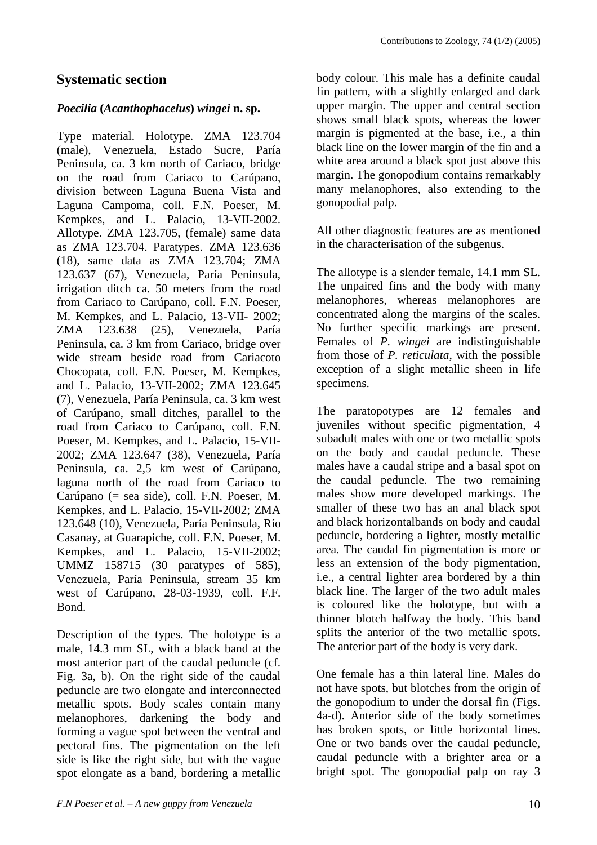## **Systematic section**

### *Poecilia* **(***Acanthophacelus***)** *wingei* **n. sp.**

Type material. Holotype. ZMA 123.704 (male), Venezuela, Estado Sucre, Paría Peninsula, ca. 3 km north of Cariaco, bridge on the road from Cariaco to Carúpano, division between Laguna Buena Vista and Laguna Campoma, coll. F.N. Poeser, M. Kempkes, and L. Palacio, 13-VII-2002. Allotype. ZMA 123.705, (female) same data as ZMA 123.704. Paratypes. ZMA 123.636 (18), same data as ZMA 123.704; ZMA 123.637 (67), Venezuela, Paría Peninsula, irrigation ditch ca. 50 meters from the road from Cariaco to Carúpano, coll. F.N. Poeser, M. Kempkes, and L. Palacio, 13-VII- 2002; ZMA 123.638 (25), Venezuela, Paría Peninsula, ca. 3 km from Cariaco, bridge over wide stream beside road from Cariacoto Chocopata, coll. F.N. Poeser, M. Kempkes, and L. Palacio, 13-VII-2002; ZMA 123.645 (7), Venezuela, Paría Peninsula, ca. 3 km west of Carúpano, small ditches, parallel to the road from Cariaco to Carúpano, coll. F.N. Poeser, M. Kempkes, and L. Palacio, 15-VII-2002; ZMA 123.647 (38), Venezuela, Paría Peninsula, ca. 2,5 km west of Carúpano, laguna north of the road from Cariaco to Carúpano (= sea side), coll. F.N. Poeser, M. Kempkes, and L. Palacio, 15-VII-2002; ZMA 123.648 (10), Venezuela, Paría Peninsula, Río Casanay, at Guarapiche, coll. F.N. Poeser, M. Kempkes, and L. Palacio, 15-VII-2002; UMMZ 158715 (30 paratypes of 585), Venezuela, Paría Peninsula, stream 35 km west of Carúpano, 28-03-1939, coll. F.F. Bond.

Description of the types. The holotype is a male, 14.3 mm SL, with a black band at the most anterior part of the caudal peduncle (cf. Fig. 3a, b). On the right side of the caudal peduncle are two elongate and interconnected metallic spots. Body scales contain many melanophores, darkening the body and forming a vague spot between the ventral and pectoral fins. The pigmentation on the left side is like the right side, but with the vague spot elongate as a band, bordering a metallic body colour. This male has a definite caudal fin pattern, with a slightly enlarged and dark upper margin. The upper and central section shows small black spots, whereas the lower margin is pigmented at the base, i.e., a thin black line on the lower margin of the fin and a white area around a black spot just above this margin. The gonopodium contains remarkably many melanophores, also extending to the gonopodial palp.

All other diagnostic features are as mentioned in the characterisation of the subgenus.

The allotype is a slender female, 14.1 mm SL. The unpaired fins and the body with many melanophores, whereas melanophores are concentrated along the margins of the scales. No further specific markings are present. Females of *P. wingei* are indistinguishable from those of *P. reticulata*, with the possible exception of a slight metallic sheen in life specimens.

The paratopotypes are 12 females and juveniles without specific pigmentation, 4 subadult males with one or two metallic spots on the body and caudal peduncle. These males have a caudal stripe and a basal spot on the caudal peduncle. The two remaining males show more developed markings. The smaller of these two has an anal black spot and black horizontalbands on body and caudal peduncle, bordering a lighter, mostly metallic area. The caudal fin pigmentation is more or less an extension of the body pigmentation, i.e., a central lighter area bordered by a thin black line. The larger of the two adult males is coloured like the holotype, but with a thinner blotch halfway the body. This band splits the anterior of the two metallic spots. The anterior part of the body is very dark.

One female has a thin lateral line. Males do not have spots, but blotches from the origin of the gonopodium to under the dorsal fin (Figs. 4a-d). Anterior side of the body sometimes has broken spots, or little horizontal lines. One or two bands over the caudal peduncle, caudal peduncle with a brighter area or a bright spot. The gonopodial palp on ray 3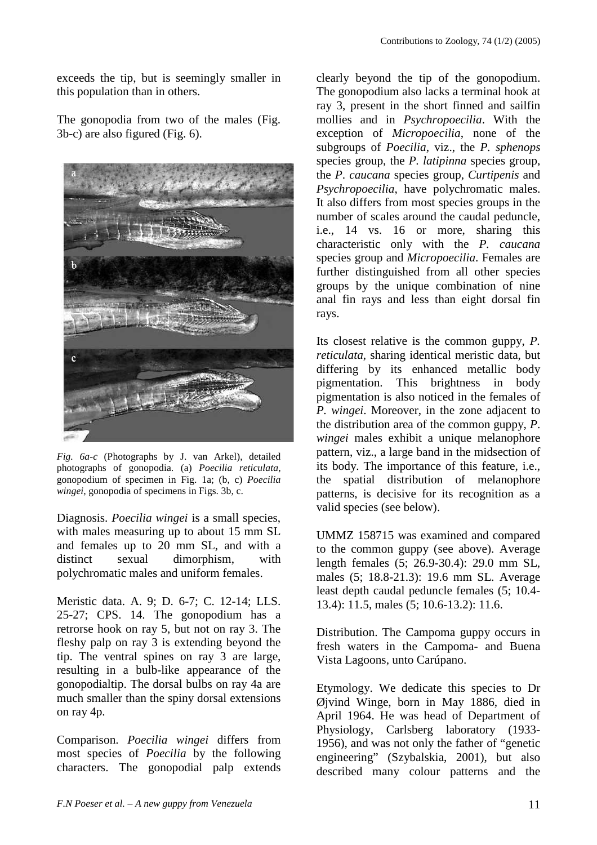exceeds the tip, but is seemingly smaller in this population than in others.

The gonopodia from two of the males (Fig. 3b-c) are also figured (Fig. 6).



*Fig. 6a-c* (Photographs by J. van Arkel), detailed photographs of gonopodia. (a) *Poecilia reticulata*, gonopodium of specimen in Fig. 1a; (b, c) *Poecilia wingei*, gonopodia of specimens in Figs. 3b, c.

Diagnosis. *Poecilia wingei* is a small species, with males measuring up to about 15 mm SL and females up to 20 mm SL, and with a distinct sexual dimorphism, with polychromatic males and uniform females.

Meristic data. A. 9; D. 6-7; C. 12-14; LLS. 25-27; CPS. 14. The gonopodium has a retrorse hook on ray 5, but not on ray 3. The fleshy palp on ray 3 is extending beyond the tip. The ventral spines on ray 3 are large, resulting in a bulb-like appearance of the gonopodialtip. The dorsal bulbs on ray 4a are much smaller than the spiny dorsal extensions on ray 4p.

Comparison. *Poecilia wingei* differs from most species of *Poecilia* by the following characters. The gonopodial palp extends

clearly beyond the tip of the gonopodium. The gonopodium also lacks a terminal hook at ray 3, present in the short finned and sailfin mollies and in *Psychropoecilia*. With the exception of *Micropoecilia*, none of the subgroups of *Poecilia*, viz., the *P. sphenops*  species group, the *P. latipinna* species group, the *P*. *caucana* species group, *Curtipenis* and *Psychropoecilia*, have polychromatic males. It also differs from most species groups in the number of scales around the caudal peduncle, i.e., 14 vs. 16 or more, sharing this characteristic only with the *P. caucana*  species group and *Micropoecilia*. Females are further distinguished from all other species groups by the unique combination of nine anal fin rays and less than eight dorsal fin rays.

Its closest relative is the common guppy, *P. reticulata*, sharing identical meristic data, but differing by its enhanced metallic body pigmentation. This brightness in body pigmentation is also noticed in the females of *P. wingei*. Moreover, in the zone adjacent to the distribution area of the common guppy, *P*. *wingei* males exhibit a unique melanophore pattern, viz., a large band in the midsection of its body. The importance of this feature, i.e., the spatial distribution of melanophore patterns, is decisive for its recognition as a valid species (see below).

UMMZ 158715 was examined and compared to the common guppy (see above). Average length females (5; 26.9-30.4): 29.0 mm SL, males (5; 18.8-21.3): 19.6 mm SL. Average least depth caudal peduncle females (5; 10.4- 13.4): 11.5, males (5; 10.6-13.2): 11.6.

Distribution. The Campoma guppy occurs in fresh waters in the Campoma- and Buena Vista Lagoons, unto Carúpano.

Etymology. We dedicate this species to Dr Øjvind Winge, born in May 1886, died in April 1964. He was head of Department of Physiology, Carlsberg laboratory (1933- 1956), and was not only the father of "genetic engineering" (Szybalskia, 2001), but also described many colour patterns and the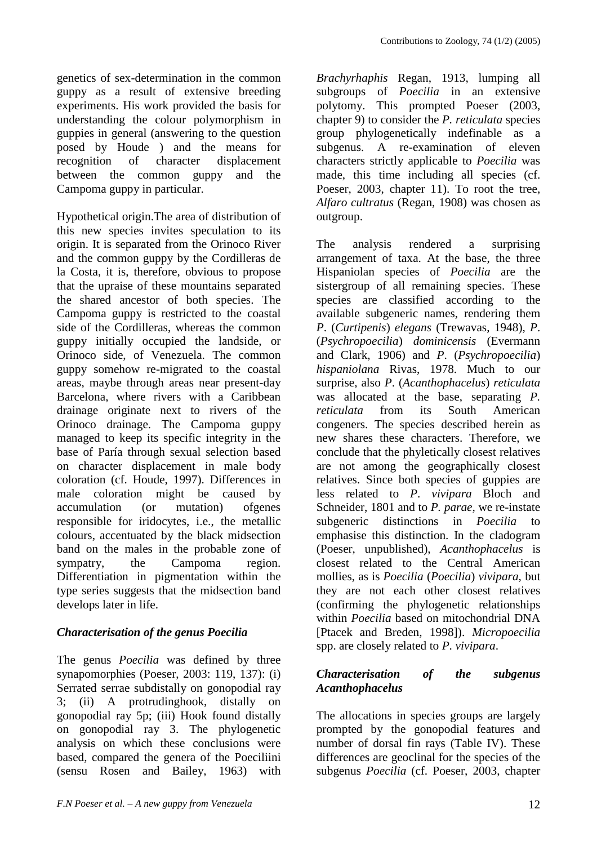genetics of sex-determination in the common guppy as a result of extensive breeding experiments. His work provided the basis for understanding the colour polymorphism in guppies in general (answering to the question posed by Houde ) and the means for recognition of character displacement between the common guppy and the Campoma guppy in particular.

Hypothetical origin.The area of distribution of this new species invites speculation to its origin. It is separated from the Orinoco River and the common guppy by the Cordilleras de la Costa, it is, therefore, obvious to propose that the upraise of these mountains separated the shared ancestor of both species. The Campoma guppy is restricted to the coastal side of the Cordilleras, whereas the common guppy initially occupied the landside, or Orinoco side, of Venezuela. The common guppy somehow re-migrated to the coastal areas, maybe through areas near present-day Barcelona, where rivers with a Caribbean drainage originate next to rivers of the Orinoco drainage. The Campoma guppy managed to keep its specific integrity in the base of Paría through sexual selection based on character displacement in male body coloration (cf. Houde, 1997). Differences in male coloration might be caused by accumulation (or mutation) ofgenes responsible for iridocytes, i.e., the metallic colours, accentuated by the black midsection band on the males in the probable zone of sympatry, the Campoma region. Differentiation in pigmentation within the type series suggests that the midsection band develops later in life.

#### *Characterisation of the genus Poecilia*

The genus *Poecilia* was defined by three synapomorphies (Poeser, 2003: 119, 137): (i) Serrated serrae subdistally on gonopodial ray 3; (ii) A protrudinghook, distally on gonopodial ray 5p; (iii) Hook found distally on gonopodial ray 3. The phylogenetic analysis on which these conclusions were based, compared the genera of the Poeciliini (sensu Rosen and Bailey, 1963) with

*Brachyrhaphis* Regan, 1913, lumping all subgroups of *Poecilia* in an extensive polytomy. This prompted Poeser (2003, chapter 9) to consider the *P. reticulata* species group phylogenetically indefinable as a subgenus. A re-examination of eleven characters strictly applicable to *Poecilia* was made, this time including all species (cf. Poeser, 2003, chapter 11). To root the tree, *Alfaro cultratus* (Regan, 1908) was chosen as outgroup.

The analysis rendered a surprising arrangement of taxa. At the base, the three Hispaniolan species of *Poecilia* are the sistergroup of all remaining species. These species are classified according to the available subgeneric names, rendering them *P*. (*Curtipenis*) *elegans* (Trewavas, 1948), *P*. (*Psychropoecilia*) *dominicensis* (Evermann and Clark, 1906) and *P*. (*Psychropoecilia*) *hispaniolana* Rivas, 1978. Much to our surprise, also *P*. (*Acanthophacelus*) *reticulata* was allocated at the base, separating *P. reticulata* from its South American congeners. The species described herein as new shares these characters. Therefore, we conclude that the phyletically closest relatives are not among the geographically closest relatives. Since both species of guppies are less related to *P*. *vivipara* Bloch and Schneider, 1801 and to *P. parae*, we re-instate subgeneric distinctions in *Poecilia* to emphasise this distinction. In the cladogram (Poeser, unpublished), *Acanthophacelus* is closest related to the Central American mollies, as is *Poecilia* (*Poecilia*) *vivipara*, but they are not each other closest relatives (confirming the phylogenetic relationships within *Poecilia* based on mitochondrial DNA [Ptacek and Breden, 1998]). *Micropoecilia* spp. are closely related to *P. vivipara*.

#### *Characterisation of the subgenus Acanthophacelus*

The allocations in species groups are largely prompted by the gonopodial features and number of dorsal fin rays (Table IV). These differences are geoclinal for the species of the subgenus *Poecilia* (cf. Poeser, 2003, chapter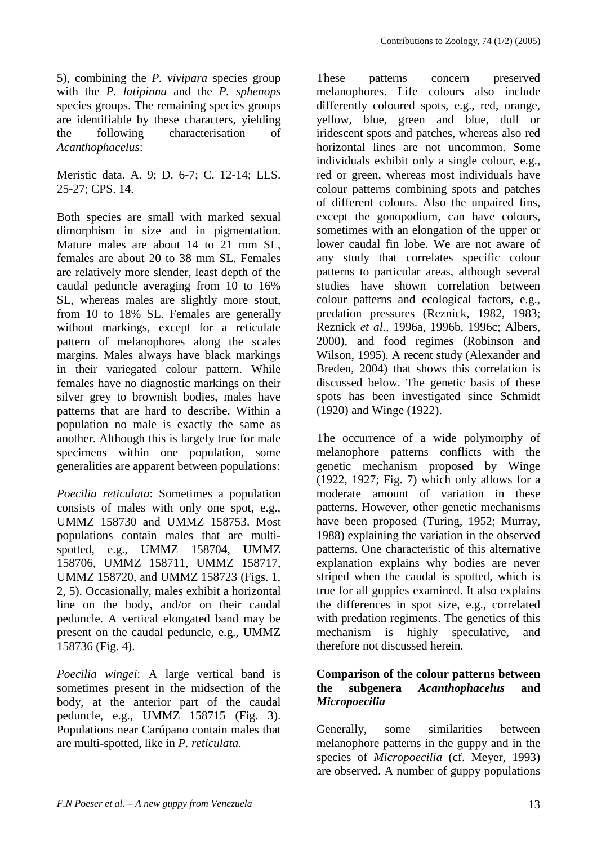5), combining the *P. vivipara* species group with the *P. latipinna* and the *P. sphenops*  species groups. The remaining species groups are identifiable by these characters, yielding the following characterisation of *Acanthophacelus*:

Meristic data. A. 9; D. 6-7; C. 12-14; LLS. 25-27; CPS. 14.

Both species are small with marked sexual dimorphism in size and in pigmentation. Mature males are about 14 to 21 mm SL, females are about 20 to 38 mm SL. Females are relatively more slender, least depth of the caudal peduncle averaging from 10 to 16% SL, whereas males are slightly more stout, from 10 to 18% SL. Females are generally without markings, except for a reticulate pattern of melanophores along the scales margins. Males always have black markings in their variegated colour pattern. While females have no diagnostic markings on their silver grey to brownish bodies, males have patterns that are hard to describe. Within a population no male is exactly the same as another. Although this is largely true for male specimens within one population, some generalities are apparent between populations:

*Poecilia reticulata*: Sometimes a population consists of males with only one spot, e.g., UMMZ 158730 and UMMZ 158753. Most populations contain males that are multispotted, e.g., UMMZ 158704, UMMZ 158706, UMMZ 158711, UMMZ 158717, UMMZ 158720, and UMMZ 158723 (Figs. 1, 2, 5). Occasionally, males exhibit a horizontal line on the body, and/or on their caudal peduncle. A vertical elongated band may be present on the caudal peduncle, e.g., UMMZ 158736 (Fig. 4).

*Poecilia wingei*: A large vertical band is sometimes present in the midsection of the body, at the anterior part of the caudal peduncle, e.g., UMMZ 158715 (Fig. 3). Populations near Carúpano contain males that are multi-spotted, like in *P. reticulata*.

These patterns concern preserved melanophores. Life colours also include differently coloured spots, e.g., red, orange, yellow, blue, green and blue, dull or iridescent spots and patches, whereas also red horizontal lines are not uncommon. Some individuals exhibit only a single colour, e.g., red or green, whereas most individuals have colour patterns combining spots and patches of different colours. Also the unpaired fins, except the gonopodium, can have colours, sometimes with an elongation of the upper or lower caudal fin lobe. We are not aware of any study that correlates specific colour patterns to particular areas, although several studies have shown correlation between colour patterns and ecological factors, e.g., predation pressures (Reznick, 1982, 1983; Reznick *et al.,* 1996a, 1996b, 1996c; Albers, 2000), and food regimes (Robinson and Wilson, 1995). A recent study (Alexander and Breden, 2004) that shows this correlation is discussed below. The genetic basis of these spots has been investigated since Schmidt (1920) and Winge (1922).

The occurrence of a wide polymorphy of melanophore patterns conflicts with the genetic mechanism proposed by Winge (1922, 1927; Fig. 7) which only allows for a moderate amount of variation in these patterns. However, other genetic mechanisms have been proposed (Turing, 1952; Murray, 1988) explaining the variation in the observed patterns. One characteristic of this alternative explanation explains why bodies are never striped when the caudal is spotted, which is true for all guppies examined. It also explains the differences in spot size, e.g., correlated with predation regiments. The genetics of this mechanism is highly speculative, and therefore not discussed herein.

#### **Comparison of the colour patterns between the subgenera** *Acanthophacelus* **and** *Micropoecilia*

Generally, some similarities between melanophore patterns in the guppy and in the species of *Micropoecilia* (cf. Meyer, 1993) are observed. A number of guppy populations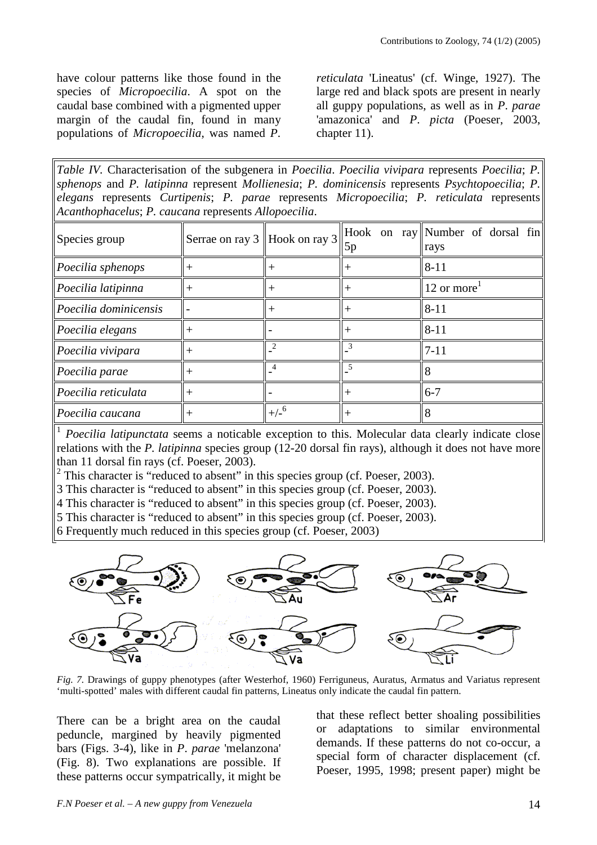have colour patterns like those found in the species of *Micropoecilia*. A spot on the caudal base combined with a pigmented upper margin of the caudal fin, found in many populations of *Micropoecilia*, was named *P*.

*reticulata* 'Lineatus' (cf. Winge, 1927). The large red and black spots are present in nearly all guppy populations, as well as in *P*. *parae* 'amazonica' and *P*. *picta* (Poeser, 2003, chapter 11).

*Table IV.* Characterisation of the subgenera in *Poecilia*. *Poecilia vivipara* represents *Poecilia*; *P. sphenops* and *P. latipinna* represent *Mollienesia*; *P. dominicensis* represents *Psychtopoecilia*; *P. elegans* represents *Curtipenis*; *P. parae* represents *Micropoecilia*; *P. reticulata* represents *Acanthophacelus*; *P. caucana* represents *Allopoecilia*.

| Species group         | Serrae on ray 3   Hook on ray 3 |        | 5p | $\ $ Hook on ray Number of dorsal fin<br>rays |
|-----------------------|---------------------------------|--------|----|-----------------------------------------------|
| Poecilia sphenops     |                                 |        |    | $8 - 11$                                      |
| Poecilia latipinna    |                                 |        |    | 12 or more                                    |
| Poecilia dominicensis |                                 |        |    | $8 - 11$                                      |
| Poecilia elegans      |                                 |        |    | $8 - 11$                                      |
| Poecilia vivipara     |                                 |        |    | $7 - 11$                                      |
| Poecilia parae        |                                 |        |    |                                               |
| Poecilia reticulata   |                                 |        |    | $6 - 7$                                       |
| Poecilia caucana      |                                 | $+/-6$ |    |                                               |

1 *Poecilia latipunctata* seems a noticable exception to this. Molecular data clearly indicate close relations with the *P. latipinna* species group (12-20 dorsal fin rays), although it does not have more than 11 dorsal fin rays (cf. Poeser, 2003).

- <sup>2</sup> This character is "reduced to absent" in this species group (cf. Poeser, 2003).
- 3 This character is "reduced to absent" in this species group (cf. Poeser, 2003).
- 4 This character is "reduced to absent" in this species group (cf. Poeser, 2003).
- 5 This character is "reduced to absent" in this species group (cf. Poeser, 2003).

6 Frequently much reduced in this species group (cf. Poeser, 2003)



*Fig. 7.* Drawings of guppy phenotypes (after Westerhof, 1960) Ferriguneus, Auratus, Armatus and Variatus represent 'multi-spotted' males with different caudal fin patterns, Lineatus only indicate the caudal fin pattern.

There can be a bright area on the caudal peduncle, margined by heavily pigmented bars (Figs. 3-4), like in *P*. *parae* 'melanzona' (Fig. 8). Two explanations are possible. If these patterns occur sympatrically, it might be that these reflect better shoaling possibilities or adaptations to similar environmental demands. If these patterns do not co-occur, a special form of character displacement (cf. Poeser, 1995, 1998; present paper) might be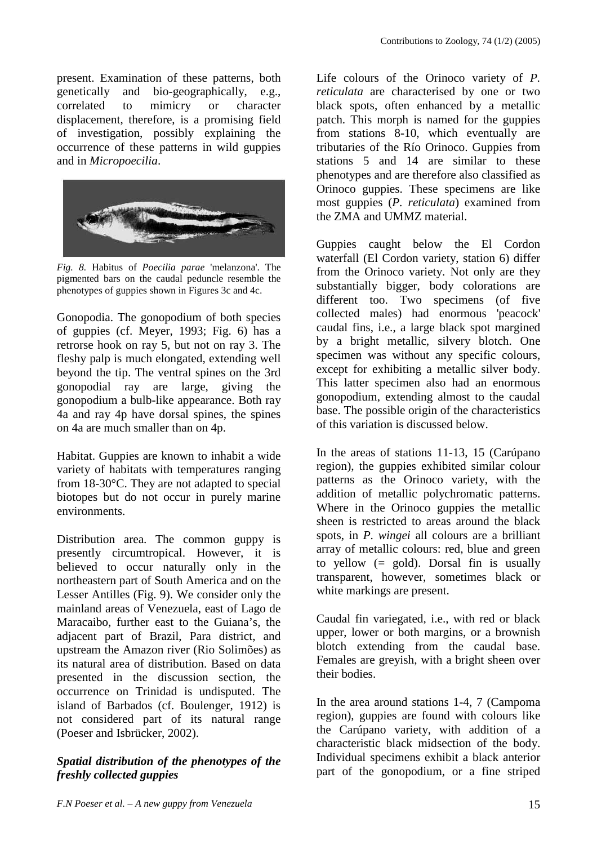present. Examination of these patterns, both genetically and bio-geographically, e.g., correlated to mimicry or character displacement, therefore, is a promising field of investigation, possibly explaining the occurrence of these patterns in wild guppies and in *Micropoecilia*.



*Fig. 8.* Habitus of *Poecilia parae* 'melanzona'. The pigmented bars on the caudal peduncle resemble the phenotypes of guppies shown in Figures 3c and 4c.

Gonopodia. The gonopodium of both species of guppies (cf. Meyer, 1993; Fig. 6) has a retrorse hook on ray 5, but not on ray 3. The fleshy palp is much elongated, extending well beyond the tip. The ventral spines on the 3rd gonopodial ray are large, giving the gonopodium a bulb-like appearance. Both ray 4a and ray 4p have dorsal spines, the spines on 4a are much smaller than on 4p.

Habitat. Guppies are known to inhabit a wide variety of habitats with temperatures ranging from 18-30°C. They are not adapted to special biotopes but do not occur in purely marine environments.

Distribution area. The common guppy is presently circumtropical. However, it is believed to occur naturally only in the northeastern part of South America and on the Lesser Antilles (Fig. 9). We consider only the mainland areas of Venezuela, east of Lago de Maracaibo, further east to the Guiana's, the adjacent part of Brazil, Para district, and upstream the Amazon river (Rio Solimões) as its natural area of distribution. Based on data presented in the discussion section, the occurrence on Trinidad is undisputed. The island of Barbados (cf. Boulenger, 1912) is not considered part of its natural range (Poeser and Isbrücker, 2002).

#### *Spatial distribution of the phenotypes of the freshly collected guppies*

Life colours of the Orinoco variety of *P. reticulata* are characterised by one or two black spots, often enhanced by a metallic patch. This morph is named for the guppies from stations 8-10, which eventually are tributaries of the Río Orinoco. Guppies from stations 5 and 14 are similar to these phenotypes and are therefore also classified as Orinoco guppies. These specimens are like most guppies (*P. reticulata*) examined from the ZMA and UMMZ material.

Guppies caught below the El Cordon waterfall (El Cordon variety, station 6) differ from the Orinoco variety. Not only are they substantially bigger, body colorations are different too. Two specimens (of five collected males) had enormous 'peacock' caudal fins, i.e., a large black spot margined by a bright metallic, silvery blotch. One specimen was without any specific colours, except for exhibiting a metallic silver body. This latter specimen also had an enormous gonopodium, extending almost to the caudal base. The possible origin of the characteristics of this variation is discussed below.

In the areas of stations 11-13, 15 (Carúpano region), the guppies exhibited similar colour patterns as the Orinoco variety, with the addition of metallic polychromatic patterns. Where in the Orinoco guppies the metallic sheen is restricted to areas around the black spots, in *P. wingei* all colours are a brilliant array of metallic colours: red, blue and green to yellow (= gold). Dorsal fin is usually transparent, however, sometimes black or white markings are present.

Caudal fin variegated, i.e., with red or black upper, lower or both margins, or a brownish blotch extending from the caudal base. Females are greyish, with a bright sheen over their bodies.

In the area around stations 1-4, 7 (Campoma region), guppies are found with colours like the Carúpano variety, with addition of a characteristic black midsection of the body. Individual specimens exhibit a black anterior part of the gonopodium, or a fine striped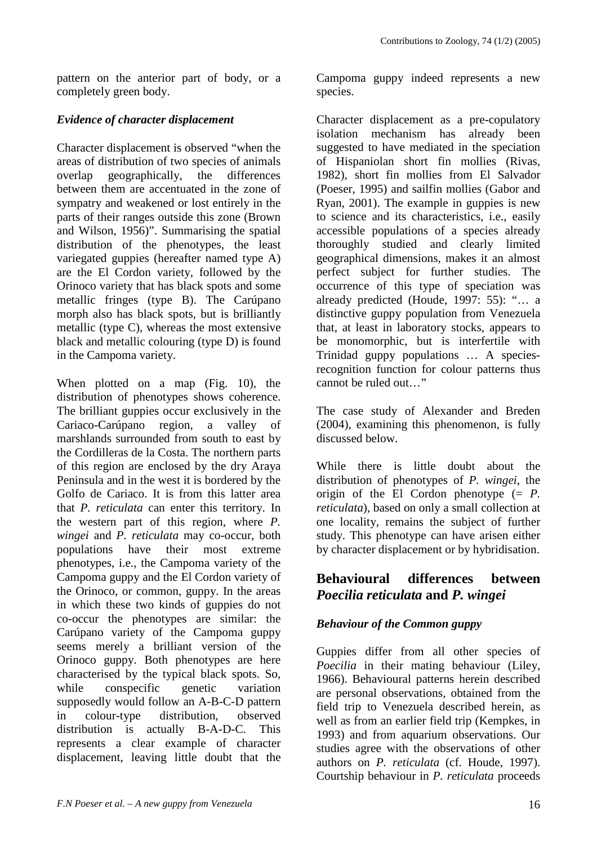pattern on the anterior part of body, or a completely green body.

#### *Evidence of character displacement*

Character displacement is observed "when the areas of distribution of two species of animals overlap geographically, the differences between them are accentuated in the zone of sympatry and weakened or lost entirely in the parts of their ranges outside this zone (Brown and Wilson, 1956)". Summarising the spatial distribution of the phenotypes, the least variegated guppies (hereafter named type A) are the El Cordon variety, followed by the Orinoco variety that has black spots and some metallic fringes (type B). The Carúpano morph also has black spots, but is brilliantly metallic (type C), whereas the most extensive black and metallic colouring (type D) is found in the Campoma variety.

When plotted on a map (Fig. 10), the distribution of phenotypes shows coherence. The brilliant guppies occur exclusively in the Cariaco-Carúpano region, a valley of marshlands surrounded from south to east by the Cordilleras de la Costa. The northern parts of this region are enclosed by the dry Araya Peninsula and in the west it is bordered by the Golfo de Cariaco. It is from this latter area that *P. reticulata* can enter this territory. In the western part of this region, where *P. wingei* and *P. reticulata* may co-occur, both populations have their most extreme phenotypes, i.e., the Campoma variety of the Campoma guppy and the El Cordon variety of the Orinoco, or common, guppy. In the areas in which these two kinds of guppies do not co-occur the phenotypes are similar: the Carúpano variety of the Campoma guppy seems merely a brilliant version of the Orinoco guppy. Both phenotypes are here characterised by the typical black spots. So, while conspecific genetic variation supposedly would follow an A-B-C-D pattern in colour-type distribution, observed distribution is actually B-A-D-C. This represents a clear example of character displacement, leaving little doubt that the Campoma guppy indeed represents a new species.

Character displacement as a pre-copulatory isolation mechanism has already been suggested to have mediated in the speciation of Hispaniolan short fin mollies (Rivas, 1982), short fin mollies from El Salvador (Poeser, 1995) and sailfin mollies (Gabor and Ryan, 2001). The example in guppies is new to science and its characteristics, i.e., easily accessible populations of a species already thoroughly studied and clearly limited geographical dimensions, makes it an almost perfect subject for further studies. The occurrence of this type of speciation was already predicted (Houde, 1997: 55): "… a distinctive guppy population from Venezuela that, at least in laboratory stocks, appears to be monomorphic, but is interfertile with Trinidad guppy populations … A speciesrecognition function for colour patterns thus cannot be ruled out…"

The case study of Alexander and Breden (2004), examining this phenomenon, is fully discussed below.

While there is little doubt about the distribution of phenotypes of *P. wingei*, the origin of the El Cordon phenotype (= *P. reticulata*), based on only a small collection at one locality, remains the subject of further study. This phenotype can have arisen either by character displacement or by hybridisation.

## **Behavioural differences between**  *Poecilia reticulata* **and** *P. wingei*

#### *Behaviour of the Common guppy*

Guppies differ from all other species of *Poecilia* in their mating behaviour (Liley, 1966). Behavioural patterns herein described are personal observations, obtained from the field trip to Venezuela described herein, as well as from an earlier field trip (Kempkes, in 1993) and from aquarium observations. Our studies agree with the observations of other authors on *P. reticulata* (cf. Houde, 1997). Courtship behaviour in *P. reticulata* proceeds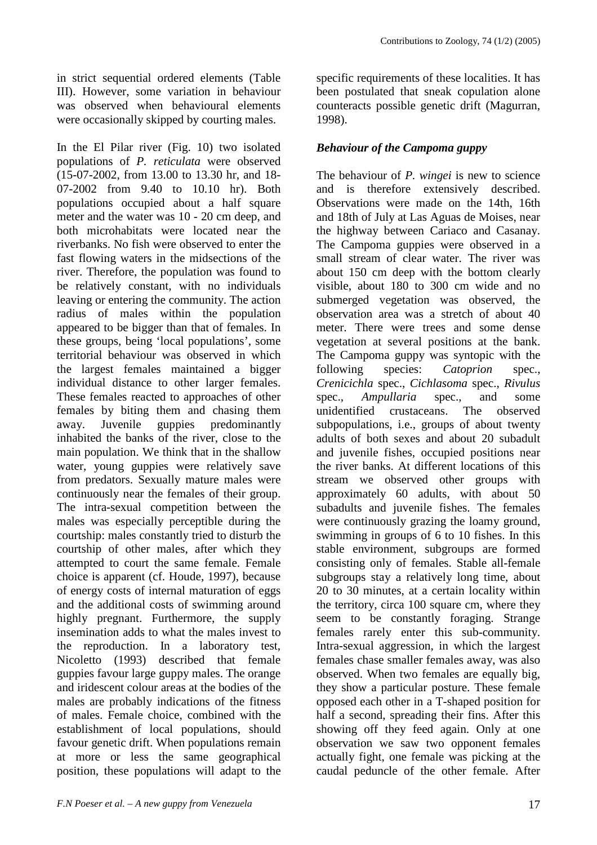in strict sequential ordered elements (Table III). However, some variation in behaviour was observed when behavioural elements were occasionally skipped by courting males.

In the El Pilar river (Fig. 10) two isolated populations of *P. reticulata* were observed (15-07-2002, from 13.00 to 13.30 hr, and 18- 07-2002 from 9.40 to 10.10 hr). Both populations occupied about a half square meter and the water was 10 - 20 cm deep, and both microhabitats were located near the riverbanks. No fish were observed to enter the fast flowing waters in the midsections of the river. Therefore, the population was found to be relatively constant, with no individuals leaving or entering the community. The action radius of males within the population appeared to be bigger than that of females. In these groups, being 'local populations', some territorial behaviour was observed in which the largest females maintained a bigger individual distance to other larger females. These females reacted to approaches of other females by biting them and chasing them away. Juvenile guppies predominantly inhabited the banks of the river, close to the main population. We think that in the shallow water, young guppies were relatively save from predators. Sexually mature males were continuously near the females of their group. The intra-sexual competition between the males was especially perceptible during the courtship: males constantly tried to disturb the courtship of other males, after which they attempted to court the same female. Female choice is apparent (cf. Houde, 1997), because of energy costs of internal maturation of eggs and the additional costs of swimming around highly pregnant. Furthermore, the supply insemination adds to what the males invest to the reproduction. In a laboratory test, Nicoletto (1993) described that female guppies favour large guppy males. The orange and iridescent colour areas at the bodies of the males are probably indications of the fitness of males. Female choice, combined with the establishment of local populations, should favour genetic drift. When populations remain at more or less the same geographical position, these populations will adapt to the

specific requirements of these localities. It has been postulated that sneak copulation alone counteracts possible genetic drift (Magurran, 1998).

## *Behaviour of the Campoma guppy*

The behaviour of *P. wingei* is new to science and is therefore extensively described. Observations were made on the 14th, 16th and 18th of July at Las Aguas de Moises, near the highway between Cariaco and Casanay. The Campoma guppies were observed in a small stream of clear water. The river was about 150 cm deep with the bottom clearly visible, about 180 to 300 cm wide and no submerged vegetation was observed, the observation area was a stretch of about 40 meter. There were trees and some dense vegetation at several positions at the bank. The Campoma guppy was syntopic with the following species: *Catoprion* spec., *Crenicichla* spec., *Cichlasoma* spec., *Rivulus* spec., *Ampullaria* spec., and some unidentified crustaceans. The observed subpopulations, i.e., groups of about twenty adults of both sexes and about 20 subadult and juvenile fishes, occupied positions near the river banks. At different locations of this stream we observed other groups with approximately 60 adults, with about 50 subadults and juvenile fishes. The females were continuously grazing the loamy ground, swimming in groups of 6 to 10 fishes. In this stable environment, subgroups are formed consisting only of females. Stable all-female subgroups stay a relatively long time, about 20 to 30 minutes, at a certain locality within the territory, circa 100 square cm, where they seem to be constantly foraging. Strange females rarely enter this sub-community. Intra-sexual aggression, in which the largest females chase smaller females away, was also observed. When two females are equally big, they show a particular posture. These female opposed each other in a T-shaped position for half a second, spreading their fins. After this showing off they feed again. Only at one observation we saw two opponent females actually fight, one female was picking at the caudal peduncle of the other female. After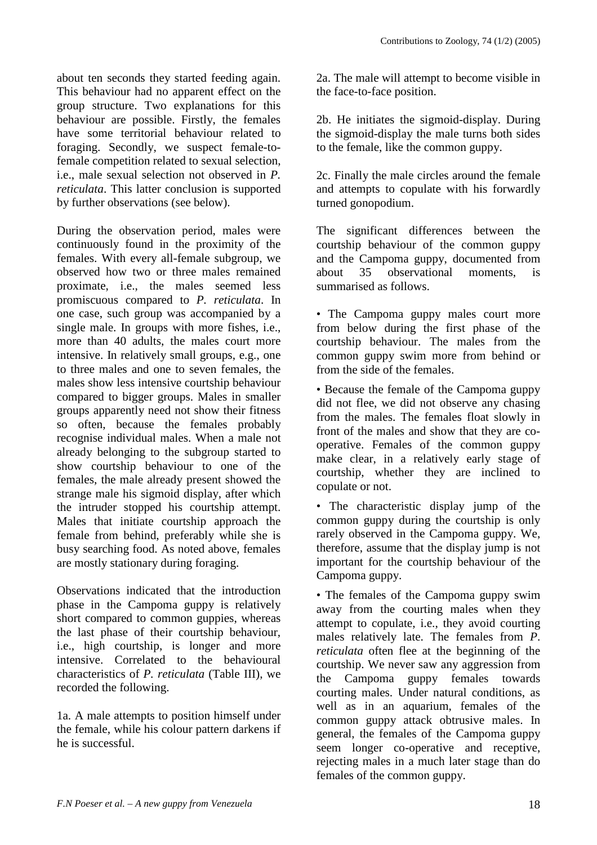about ten seconds they started feeding again. This behaviour had no apparent effect on the group structure. Two explanations for this behaviour are possible. Firstly, the females have some territorial behaviour related to foraging. Secondly, we suspect female-tofemale competition related to sexual selection, i.e., male sexual selection not observed in *P. reticulata*. This latter conclusion is supported by further observations (see below).

During the observation period, males were continuously found in the proximity of the females. With every all-female subgroup, we observed how two or three males remained proximate, i.e., the males seemed less promiscuous compared to *P. reticulata*. In one case, such group was accompanied by a single male. In groups with more fishes, i.e., more than 40 adults, the males court more intensive. In relatively small groups, e.g., one to three males and one to seven females, the males show less intensive courtship behaviour compared to bigger groups. Males in smaller groups apparently need not show their fitness so often, because the females probably recognise individual males. When a male not already belonging to the subgroup started to show courtship behaviour to one of the females, the male already present showed the strange male his sigmoid display, after which the intruder stopped his courtship attempt. Males that initiate courtship approach the female from behind, preferably while she is busy searching food. As noted above, females are mostly stationary during foraging.

Observations indicated that the introduction phase in the Campoma guppy is relatively short compared to common guppies, whereas the last phase of their courtship behaviour, i.e., high courtship, is longer and more intensive. Correlated to the behavioural characteristics of *P. reticulata* (Table III), we recorded the following.

1a. A male attempts to position himself under the female, while his colour pattern darkens if he is successful.

2a. The male will attempt to become visible in the face-to-face position.

2b. He initiates the sigmoid-display. During the sigmoid-display the male turns both sides to the female, like the common guppy.

2c. Finally the male circles around the female and attempts to copulate with his forwardly turned gonopodium.

The significant differences between the courtship behaviour of the common guppy and the Campoma guppy, documented from about 35 observational moments is summarised as follows.

• The Campoma guppy males court more from below during the first phase of the courtship behaviour. The males from the common guppy swim more from behind or from the side of the females.

• Because the female of the Campoma guppy did not flee, we did not observe any chasing from the males. The females float slowly in front of the males and show that they are cooperative. Females of the common guppy make clear, in a relatively early stage of courtship, whether they are inclined to copulate or not.

• The characteristic display jump of the common guppy during the courtship is only rarely observed in the Campoma guppy. We, therefore, assume that the display jump is not important for the courtship behaviour of the Campoma guppy.

• The females of the Campoma guppy swim away from the courting males when they attempt to copulate, i.e., they avoid courting males relatively late. The females from *P*. *reticulata* often flee at the beginning of the courtship. We never saw any aggression from the Campoma guppy females towards courting males. Under natural conditions, as well as in an aquarium, females of the common guppy attack obtrusive males. In general, the females of the Campoma guppy seem longer co-operative and receptive, rejecting males in a much later stage than do females of the common guppy.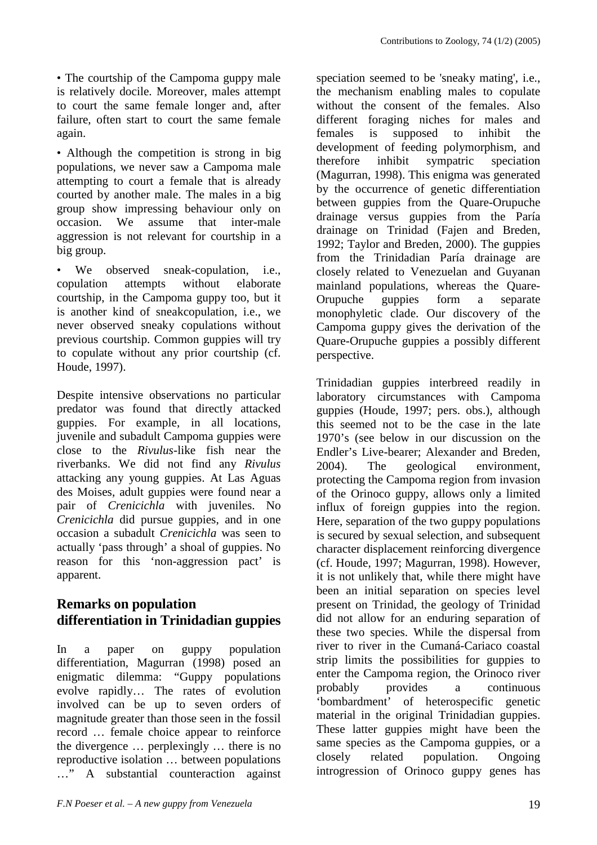• The courtship of the Campoma guppy male is relatively docile. Moreover, males attempt to court the same female longer and, after failure, often start to court the same female again.

• Although the competition is strong in big populations, we never saw a Campoma male attempting to court a female that is already courted by another male. The males in a big group show impressing behaviour only on occasion. We assume that inter-male aggression is not relevant for courtship in a big group.

We observed sneak-copulation, i.e., copulation attempts without elaborate courtship, in the Campoma guppy too, but it is another kind of sneakcopulation, i.e., we never observed sneaky copulations without previous courtship. Common guppies will try to copulate without any prior courtship (cf. Houde, 1997).

Despite intensive observations no particular predator was found that directly attacked guppies. For example, in all locations, juvenile and subadult Campoma guppies were close to the *Rivulus*-like fish near the riverbanks. We did not find any *Rivulus*  attacking any young guppies. At Las Aguas des Moises, adult guppies were found near a pair of *Crenicichla* with juveniles. No *Crenicichla* did pursue guppies, and in one occasion a subadult *Crenicichla* was seen to actually 'pass through' a shoal of guppies. No reason for this 'non-aggression pact' is apparent.

## **Remarks on population differentiation in Trinidadian guppies**

In a paper on guppy population differentiation, Magurran (1998) posed an enigmatic dilemma: "Guppy populations evolve rapidly… The rates of evolution involved can be up to seven orders of magnitude greater than those seen in the fossil record … female choice appear to reinforce the divergence … perplexingly … there is no reproductive isolation … between populations …" A substantial counteraction against speciation seemed to be 'sneaky mating', i.e., the mechanism enabling males to copulate without the consent of the females. Also different foraging niches for males and females is supposed to inhibit the development of feeding polymorphism, and therefore inhibit sympatric speciation (Magurran, 1998). This enigma was generated by the occurrence of genetic differentiation between guppies from the Quare-Orupuche drainage versus guppies from the Paría drainage on Trinidad (Fajen and Breden, 1992; Taylor and Breden, 2000). The guppies from the Trinidadian Paría drainage are closely related to Venezuelan and Guyanan mainland populations, whereas the Quare-Orupuche guppies form a separate monophyletic clade. Our discovery of the Campoma guppy gives the derivation of the Quare-Orupuche guppies a possibly different perspective.

Trinidadian guppies interbreed readily in laboratory circumstances with Campoma guppies (Houde, 1997; pers. obs.), although this seemed not to be the case in the late 1970's (see below in our discussion on the Endler's Live-bearer; Alexander and Breden, 2004). The geological environment, protecting the Campoma region from invasion of the Orinoco guppy, allows only a limited influx of foreign guppies into the region. Here, separation of the two guppy populations is secured by sexual selection, and subsequent character displacement reinforcing divergence (cf. Houde, 1997; Magurran, 1998). However, it is not unlikely that, while there might have been an initial separation on species level present on Trinidad, the geology of Trinidad did not allow for an enduring separation of these two species. While the dispersal from river to river in the Cumaná-Cariaco coastal strip limits the possibilities for guppies to enter the Campoma region, the Orinoco river probably provides a continuous 'bombardment' of heterospecific genetic material in the original Trinidadian guppies. These latter guppies might have been the same species as the Campoma guppies, or a closely related population. Ongoing introgression of Orinoco guppy genes has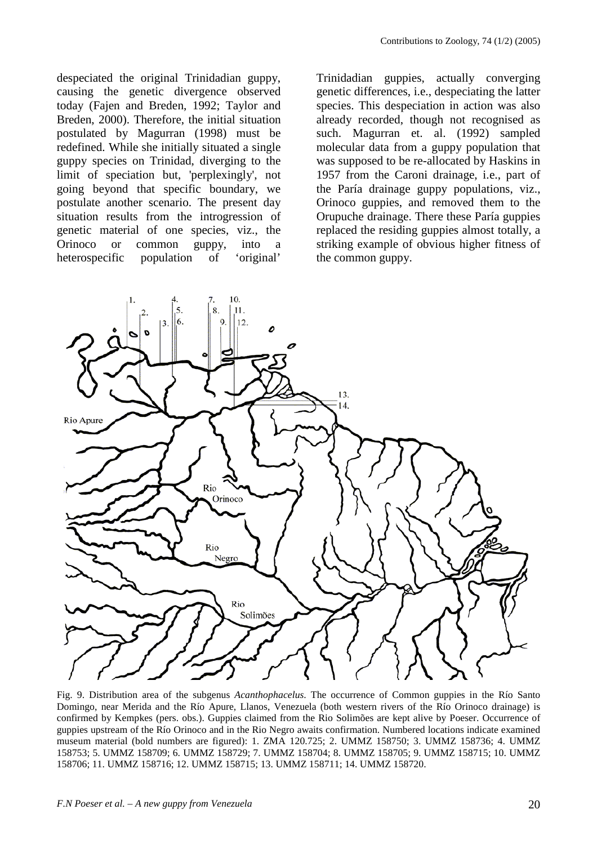despeciated the original Trinidadian guppy, causing the genetic divergence observed today (Fajen and Breden, 1992; Taylor and Breden, 2000). Therefore, the initial situation postulated by Magurran (1998) must be redefined. While she initially situated a single guppy species on Trinidad, diverging to the limit of speciation but, 'perplexingly', not going beyond that specific boundary, we postulate another scenario. The present day situation results from the introgression of genetic material of one species, viz., the Orinoco or common guppy, into a heterospecific population of 'original' heterospecific population of

Trinidadian guppies, actually converging genetic differences, i.e., despeciating the latter species. This despeciation in action was also already recorded, though not recognised as such. Magurran et. al. (1992) sampled molecular data from a guppy population that was supposed to be re-allocated by Haskins in 1957 from the Caroni drainage, i.e., part of the Paría drainage guppy populations, viz., Orinoco guppies, and removed them to the Orupuche drainage. There these Paría guppies replaced the residing guppies almost totally, a striking example of obvious higher fitness of the common guppy.



Fig. 9. Distribution area of the subgenus *Acanthophacelus*. The occurrence of Common guppies in the Río Santo Domingo, near Merida and the Río Apure, Llanos, Venezuela (both western rivers of the Río Orinoco drainage) is confirmed by Kempkes (pers. obs.). Guppies claimed from the Rio Solimões are kept alive by Poeser. Occurrence of guppies upstream of the Río Orinoco and in the Rio Negro awaits confirmation. Numbered locations indicate examined museum material (bold numbers are figured): 1. ZMA 120.725; 2. UMMZ 158750; 3. UMMZ 158736; 4. UMMZ 158753; 5. UMMZ 158709; 6. UMMZ 158729; 7. UMMZ 158704; 8. UMMZ 158705; 9. UMMZ 158715; 10. UMMZ 158706; 11. UMMZ 158716; 12. UMMZ 158715; 13. UMMZ 158711; 14. UMMZ 158720.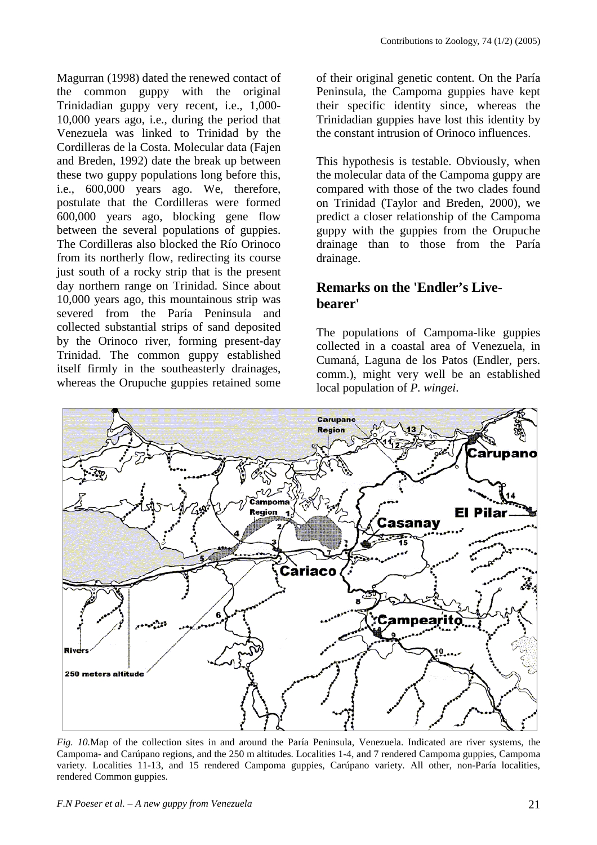Magurran (1998) dated the renewed contact of the common guppy with the original Trinidadian guppy very recent, i.e., 1,000- 10,000 years ago, i.e., during the period that Venezuela was linked to Trinidad by the Cordilleras de la Costa. Molecular data (Fajen and Breden, 1992) date the break up between these two guppy populations long before this, i.e., 600,000 years ago. We, therefore, postulate that the Cordilleras were formed 600,000 years ago, blocking gene flow between the several populations of guppies. The Cordilleras also blocked the Río Orinoco from its northerly flow, redirecting its course just south of a rocky strip that is the present day northern range on Trinidad. Since about 10,000 years ago, this mountainous strip was severed from the Paría Peninsula and collected substantial strips of sand deposited by the Orinoco river, forming present-day Trinidad. The common guppy established itself firmly in the southeasterly drainages, whereas the Orupuche guppies retained some

of their original genetic content. On the Paría Peninsula, the Campoma guppies have kept their specific identity since, whereas the Trinidadian guppies have lost this identity by the constant intrusion of Orinoco influences.

This hypothesis is testable. Obviously, when the molecular data of the Campoma guppy are compared with those of the two clades found on Trinidad (Taylor and Breden, 2000), we predict a closer relationship of the Campoma guppy with the guppies from the Orupuche drainage than to those from the Paría drainage.

## **Remarks on the 'Endler's Livebearer'**

The populations of Campoma-like guppies collected in a coastal area of Venezuela, in Cumaná, Laguna de los Patos (Endler, pers. comm.), might very well be an established local population of *P. wingei*.



*Fig. 10.*Map of the collection sites in and around the Paría Peninsula, Venezuela. Indicated are river systems, the Campoma- and Carúpano regions, and the 250 m altitudes. Localities 1-4, and 7 rendered Campoma guppies, Campoma variety. Localities 11-13, and 15 rendered Campoma guppies, Carúpano variety. All other, non-Paría localities, rendered Common guppies.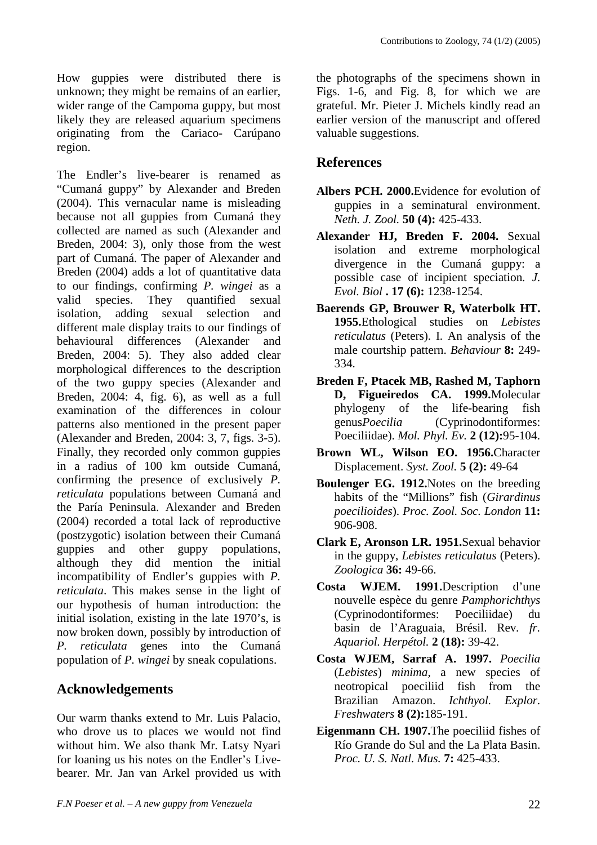How guppies were distributed there is unknown; they might be remains of an earlier, wider range of the Campoma guppy, but most likely they are released aquarium specimens originating from the Cariaco- Carúpano region.

The Endler's live-bearer is renamed as "Cumaná guppy" by Alexander and Breden (2004). This vernacular name is misleading because not all guppies from Cumaná they collected are named as such (Alexander and Breden, 2004: 3), only those from the west part of Cumaná. The paper of Alexander and Breden (2004) adds a lot of quantitative data to our findings, confirming *P. wingei* as a valid species. They quantified sexual isolation, adding sexual selection and different male display traits to our findings of behavioural differences (Alexander and Breden, 2004: 5). They also added clear morphological differences to the description of the two guppy species (Alexander and Breden, 2004: 4, fig. 6), as well as a full examination of the differences in colour patterns also mentioned in the present paper (Alexander and Breden, 2004: 3, 7, figs. 3-5). Finally, they recorded only common guppies in a radius of 100 km outside Cumaná, confirming the presence of exclusively *P. reticulata* populations between Cumaná and the Paría Peninsula. Alexander and Breden (2004) recorded a total lack of reproductive (postzygotic) isolation between their Cumaná guppies and other guppy populations, although they did mention the initial incompatibility of Endler's guppies with *P. reticulata*. This makes sense in the light of our hypothesis of human introduction: the initial isolation, existing in the late 1970's, is now broken down, possibly by introduction of *P. reticulata* genes into the Cumaná population of *P. wingei* by sneak copulations.

## **Acknowledgements**

Our warm thanks extend to Mr. Luis Palacio, who drove us to places we would not find without him. We also thank Mr. Latsy Nyari for loaning us his notes on the Endler's Livebearer. Mr. Jan van Arkel provided us with the photographs of the specimens shown in Figs. 1-6, and Fig. 8, for which we are grateful. Mr. Pieter J. Michels kindly read an earlier version of the manuscript and offered valuable suggestions.

## **References**

- **Albers PCH. 2000.**Evidence for evolution of guppies in a seminatural environment. *Neth. J. Zool.* **50 (4):** 425-433.
- **Alexander HJ, Breden F. 2004.** Sexual isolation and extreme morphological divergence in the Cumaná guppy: a possible case of incipient speciation*. J. Evol. Biol* **. 17 (6):** 1238-1254.
- **Baerends GP, Brouwer R, Waterbolk HT. 1955.**Ethological studies on *Lebistes reticulatus* (Peters). I. An analysis of the male courtship pattern. *Behaviour* **8:** 249- 334.
- **Breden F, Ptacek MB, Rashed M, Taphorn D, Figueiredos CA. 1999.**Molecular phylogeny of the life-bearing fish genus*Poecilia* (Cyprinodontiformes: Poeciliidae). *Mol. Phyl. Ev.* **2 (12):**95-104.
- **Brown WL, Wilson EO. 1956.**Character Displacement. *Syst. Zool.* **5 (2):** 49-64
- **Boulenger EG. 1912.**Notes on the breeding habits of the "Millions" fish (*Girardinus poecilioides*). *Proc. Zool. Soc. London* **11:** 906-908.
- **Clark E, Aronson LR. 1951.**Sexual behavior in the guppy, *Lebistes reticulatus* (Peters). *Zoologica* **36:** 49-66.
- **Costa WJEM. 1991.**Description d'une nouvelle espèce du genre *Pamphorichthys*  (Cyprinodontiformes: Poeciliidae) du basin de l'Araguaia, Brésil. Rev*. fr. Aquariol. Herpétol.* **2 (18):** 39-42.
- **Costa WJEM, Sarraf A. 1997.** *Poecilia*  (*Lebistes*) *minima*, a new species of neotropical poeciliid fish from the Brazilian Amazon. *Ichthyol. Explor. Freshwaters* **8 (2):**185-191.
- **Eigenmann CH. 1907.**The poeciliid fishes of Río Grande do Sul and the La Plata Basin. *Proc. U. S. Natl. Mus.* **7:** 425-433.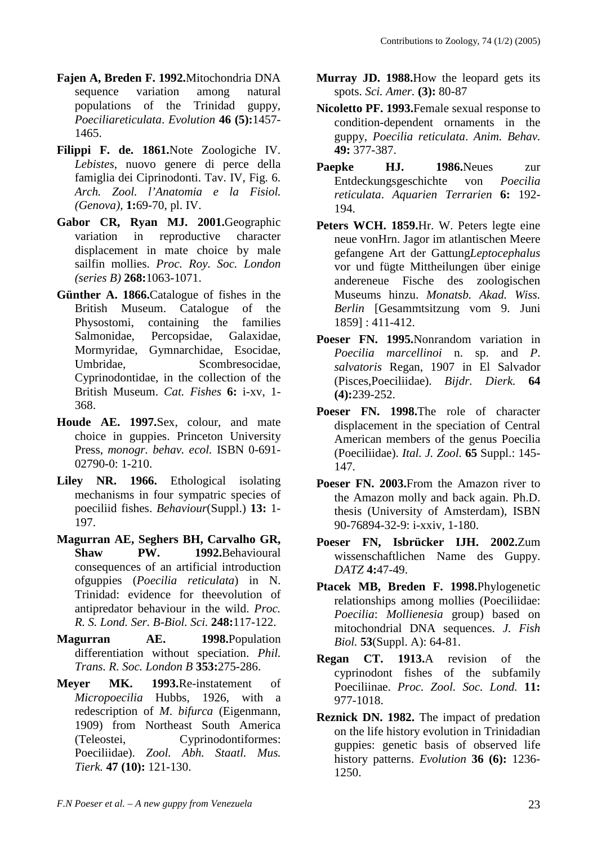- **Fajen A, Breden F. 1992.**Mitochondria DNA sequence variation among natural populations of the Trinidad guppy, *Poeciliareticulata*. *Evolution* **46 (5):**1457- 1465.
- **Filippi F. de. 1861.**Note Zoologiche IV. *Lebistes*, nuovo genere di perce della famiglia dei Ciprinodonti. Tav. IV, Fig. 6. *Arch. Zool. l'Anatomia e la Fisiol. (Genova),* **1:**69-70, pl. IV.
- **Gabor CR, Ryan MJ. 2001.**Geographic variation in reproductive character displacement in mate choice by male sailfin mollies. *Proc. Roy. Soc. London (series B)* **268:**1063-1071.
- **Günther A. 1866.**Catalogue of fishes in the British Museum. Catalogue of the Physostomi, containing the families Salmonidae, Percopsidae, Galaxidae, Mormyridae, Gymnarchidae, Esocidae, Umbridae, Scombresocidae, Cyprinodontidae, in the collection of the British Museum. *Cat. Fishes* **6:** i-xv, 1- 368.
- **Houde AE. 1997.**Sex, colour, and mate choice in guppies. Princeton University Press, *monogr. behav. ecol.* ISBN 0-691-02790-0: 1-210.
- **Liley NR. 1966.** Ethological isolating mechanisms in four sympatric species of poeciliid fishes. *Behaviour*(Suppl.) **13:** 1- 197.
- **Magurran AE, Seghers BH, Carvalho GR, Shaw PW. 1992.**Behavioural consequences of an artificial introduction ofguppies (*Poecilia reticulata*) in N. Trinidad: evidence for theevolution of antipredator behaviour in the wild. *Proc. R. S. Lond. Ser. B-Biol. Sci.* **248:**117-122.
- **Magurran AE. 1998.**Population differentiation without speciation. *Phil. Trans. R. Soc. London B* **353:**275-286.
- **Meyer MK. 1993.**Re-instatement of *Micropoecilia* Hubbs, 1926, with a redescription of *M*. *bifurca* (Eigenmann, 1909) from Northeast South America (Teleostei, Cyprinodontiformes: Poeciliidae). *Zool. Abh. Staatl. Mus. Tierk.* **47 (10):** 121-130.
- **Murray JD. 1988.**How the leopard gets its spots. *Sci. Amer.* **(3):** 80-87
- **Nicoletto PF. 1993.**Female sexual response to condition-dependent ornaments in the guppy, *Poecilia reticulata*. *Anim. Behav.* **49:** 377-387.
- **Paepke HJ. 1986.**Neues zur Entdeckungsgeschichte von *Poecilia reticulata*. *Aquarien Terrarien* **6:** 192- 194.
- Peters WCH. 1859.Hr. W. Peters legte eine neue vonHrn. Jagor im atlantischen Meere gefangene Art der Gattung*Leptocephalus*  vor und fügte Mittheilungen über einige andereneue Fische des zoologischen Museums hinzu. *Monatsb. Akad. Wiss. Berlin* [Gesammtsitzung vom 9. Juni 1859] : 411-412.
- **Poeser FN. 1995.**Nonrandom variation in *Poecilia marcellinoi* n. sp. and *P*. *salvatoris* Regan, 1907 in El Salvador (Pisces,Poeciliidae). *Bijdr. Dierk.* **64 (4):**239-252.
- **Poeser FN. 1998.**The role of character displacement in the speciation of Central American members of the genus Poecilia (Poeciliidae). *Ital. J. Zool.* **65** Suppl.: 145- 147.
- **Poeser FN. 2003.**From the Amazon river to the Amazon molly and back again. Ph.D. thesis (University of Amsterdam), ISBN 90-76894-32-9: i-xxiv, 1-180.
- **Poeser FN, Isbrücker IJH. 2002.**Zum wissenschaftlichen Name des Guppy. *DATZ* **4:**47-49.
- **Ptacek MB, Breden F. 1998.**Phylogenetic relationships among mollies (Poeciliidae: *Poecilia*: *Mollienesia* group) based on mitochondrial DNA sequences. *J. Fish Biol.* **53**(Suppl. A): 64-81.
- **Regan CT. 1913.**A revision of the cyprinodont fishes of the subfamily Poeciliinae. *Proc. Zool. Soc. Lond.* **11:** 977-1018.
- **Reznick DN. 1982.** The impact of predation on the life history evolution in Trinidadian guppies: genetic basis of observed life history patterns. *Evolution* **36 (6):** 1236- 1250.